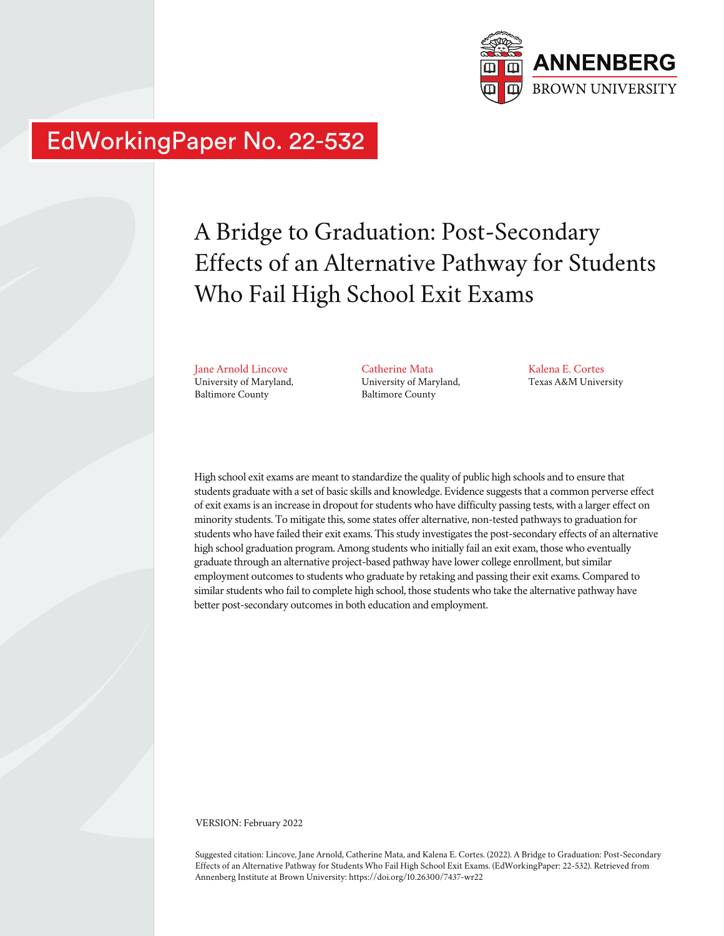

# EdWorkingPaper No. 22-532

# A Bridge to Graduation: Post-Secondary Effects of an Alternative Pathway for Students Who Fail High School Exit Exams

Jane Arnold Lincove University of Maryland, Baltimore County

Catherine Mata University of Maryland, Baltimore County

Kalena E. Cortes Texas A&M University

High school exit exams are meant to standardize the quality of public high schools and to ensure that students graduate with a set of basic skills and knowledge. Evidence suggests that a common perverse effect of exit exams is an increase in dropout for students who have difficulty passing tests, with a larger effect on minority students. To mitigate this, some states offer alternative, non-tested pathways to graduation for students who have failed their exit exams. This study investigates the post-secondary effects of an alternative high school graduation program. Among students who initially fail an exit exam, those who eventually graduate through an alternative project-based pathway have lower college enrollment, but similar employment outcomes to students who graduate by retaking and passing their exit exams. Compared to similar students who fail to complete high school, those students who take the alternative pathway have better post-secondary outcomes in both education and employment.

VERSION: February 2022

Suggested citation: Lincove, Jane Arnold, Catherine Mata, and Kalena E. Cortes. (2022). A Bridge to Graduation: Post-Secondary Effects of an Alternative Pathway for Students Who Fail High School Exit Exams. (EdWorkingPaper: 22-532). Retrieved from Annenberg Institute at Brown University: https://doi.org/10.26300/7437-wr22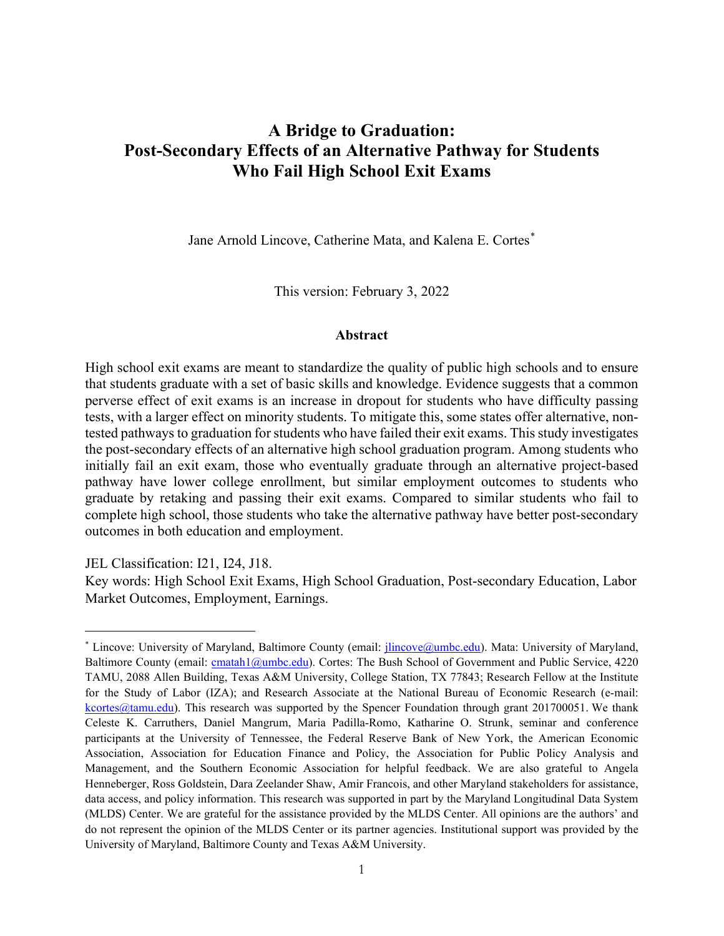# **A Bridge to Graduation: Post-Secondary Effects of an Alternative Pathway for Students Who Fail High School Exit Exams**

Jane Arnold Lincove, Catherine Mata, and Kalena E. Cortes<sup>[\\*](#page-1-0)</sup>

This version: February 3, 2022

#### **Abstract**

High school exit exams are meant to standardize the quality of public high schools and to ensure that students graduate with a set of basic skills and knowledge. Evidence suggests that a common perverse effect of exit exams is an increase in dropout for students who have difficulty passing tests, with a larger effect on minority students. To mitigate this, some states offer alternative, nontested pathways to graduation for students who have failed their exit exams. This study investigates the post-secondary effects of an alternative high school graduation program. Among students who initially fail an exit exam, those who eventually graduate through an alternative project-based pathway have lower college enrollment, but similar employment outcomes to students who graduate by retaking and passing their exit exams. Compared to similar students who fail to complete high school, those students who take the alternative pathway have better post-secondary outcomes in both education and employment.

JEL Classification: I21, I24, J18.

Key words: High School Exit Exams, High School Graduation, Post-secondary Education, Labor Market Outcomes, Employment, Earnings.

<span id="page-1-0"></span><sup>\*</sup> Lincove: University of Maryland, Baltimore County (email: [jlincove@umbc.edu\)](about:blank). Mata: University of Maryland, Baltimore County (email: [cmatah1@umbc.edu\)](about:blank). Cortes: The Bush School of Government and Public Service, 4220 TAMU, 2088 Allen Building, Texas A&M University, College Station, TX 77843; Research Fellow at the Institute for the Study of Labor (IZA); and Research Associate at the National Bureau of Economic Research (e-mail: [kcortes@tamu.edu\)](about:blank). This research was supported by the Spencer Foundation through grant 201700051. We thank Celeste K. Carruthers, Daniel Mangrum, Maria Padilla-Romo, Katharine O. Strunk, seminar and conference participants at the University of Tennessee, the Federal Reserve Bank of New York, the American Economic Association, Association for Education Finance and Policy, the Association for Public Policy Analysis and Management, and the Southern Economic Association for helpful feedback. We are also grateful to Angela Henneberger, Ross Goldstein, Dara Zeelander Shaw, Amir Francois, and other Maryland stakeholders for assistance, data access, and policy information. This research was supported in part by the Maryland Longitudinal Data System (MLDS) Center. We are grateful for the assistance provided by the MLDS Center. All opinions are the authors' and do not represent the opinion of the MLDS Center or its partner agencies. Institutional support was provided by the University of Maryland, Baltimore County and Texas A&M University.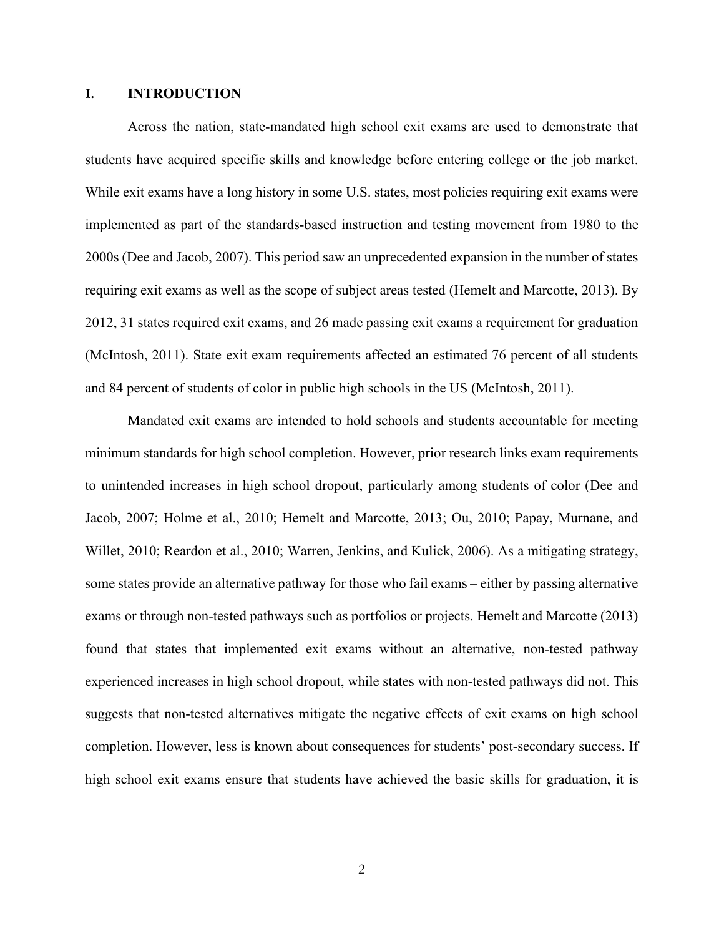#### **I. INTRODUCTION**

Across the nation, state-mandated high school exit exams are used to demonstrate that students have acquired specific skills and knowledge before entering college or the job market. While exit exams have a long history in some U.S. states, most policies requiring exit exams were implemented as part of the standards-based instruction and testing movement from 1980 to the 2000s (Dee and Jacob, 2007). This period saw an unprecedented expansion in the number of states requiring exit exams as well as the scope of subject areas tested (Hemelt and Marcotte, 2013). By 2012, 31 states required exit exams, and 26 made passing exit exams a requirement for graduation (McIntosh, 2011). State exit exam requirements affected an estimated 76 percent of all students and 84 percent of students of color in public high schools in the US (McIntosh, 2011).

Mandated exit exams are intended to hold schools and students accountable for meeting minimum standards for high school completion. However, prior research links exam requirements to unintended increases in high school dropout, particularly among students of color (Dee and Jacob, 2007; Holme et al., 2010; Hemelt and Marcotte, 2013; Ou, 2010; Papay, Murnane, and Willet, 2010; Reardon et al., 2010; Warren, Jenkins, and Kulick, 2006). As a mitigating strategy, some states provide an alternative pathway for those who fail exams – either by passing alternative exams or through non-tested pathways such as portfolios or projects. Hemelt and Marcotte (2013) found that states that implemented exit exams without an alternative, non-tested pathway experienced increases in high school dropout, while states with non-tested pathways did not. This suggests that non-tested alternatives mitigate the negative effects of exit exams on high school completion. However, less is known about consequences for students' post-secondary success. If high school exit exams ensure that students have achieved the basic skills for graduation, it is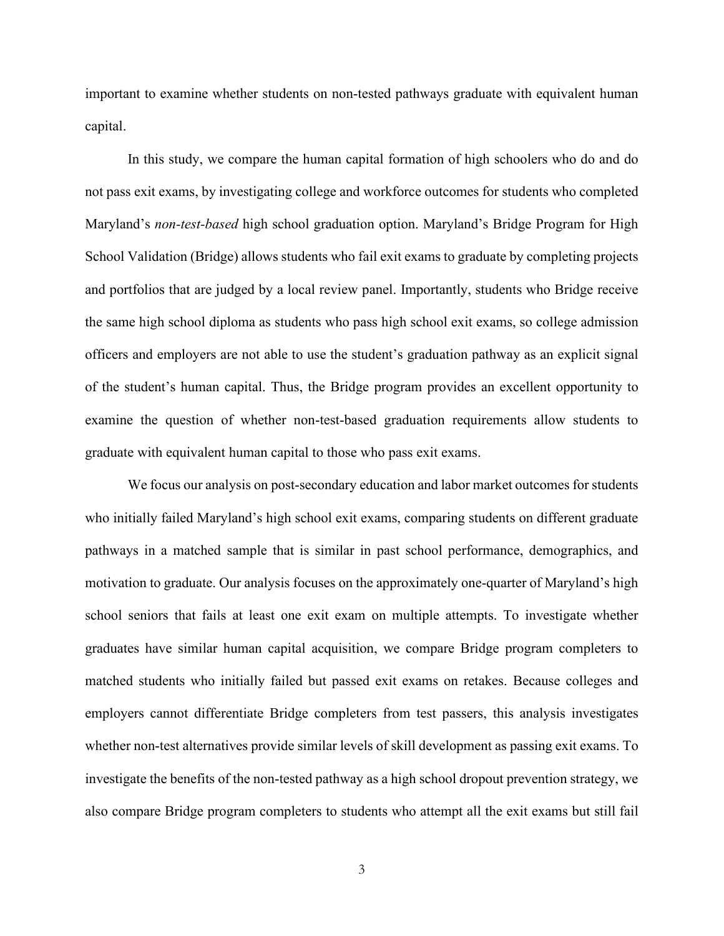important to examine whether students on non-tested pathways graduate with equivalent human capital.

In this study, we compare the human capital formation of high schoolers who do and do not pass exit exams, by investigating college and workforce outcomes for students who completed Maryland's *non-test-based* high school graduation option. Maryland's Bridge Program for High School Validation (Bridge) allows students who fail exit exams to graduate by completing projects and portfolios that are judged by a local review panel. Importantly, students who Bridge receive the same high school diploma as students who pass high school exit exams, so college admission officers and employers are not able to use the student's graduation pathway as an explicit signal of the student's human capital. Thus, the Bridge program provides an excellent opportunity to examine the question of whether non-test-based graduation requirements allow students to graduate with equivalent human capital to those who pass exit exams.

We focus our analysis on post-secondary education and labor market outcomes for students who initially failed Maryland's high school exit exams, comparing students on different graduate pathways in a matched sample that is similar in past school performance, demographics, and motivation to graduate. Our analysis focuses on the approximately one-quarter of Maryland's high school seniors that fails at least one exit exam on multiple attempts. To investigate whether graduates have similar human capital acquisition, we compare Bridge program completers to matched students who initially failed but passed exit exams on retakes. Because colleges and employers cannot differentiate Bridge completers from test passers, this analysis investigates whether non-test alternatives provide similar levels of skill development as passing exit exams. To investigate the benefits of the non-tested pathway as a high school dropout prevention strategy, we also compare Bridge program completers to students who attempt all the exit exams but still fail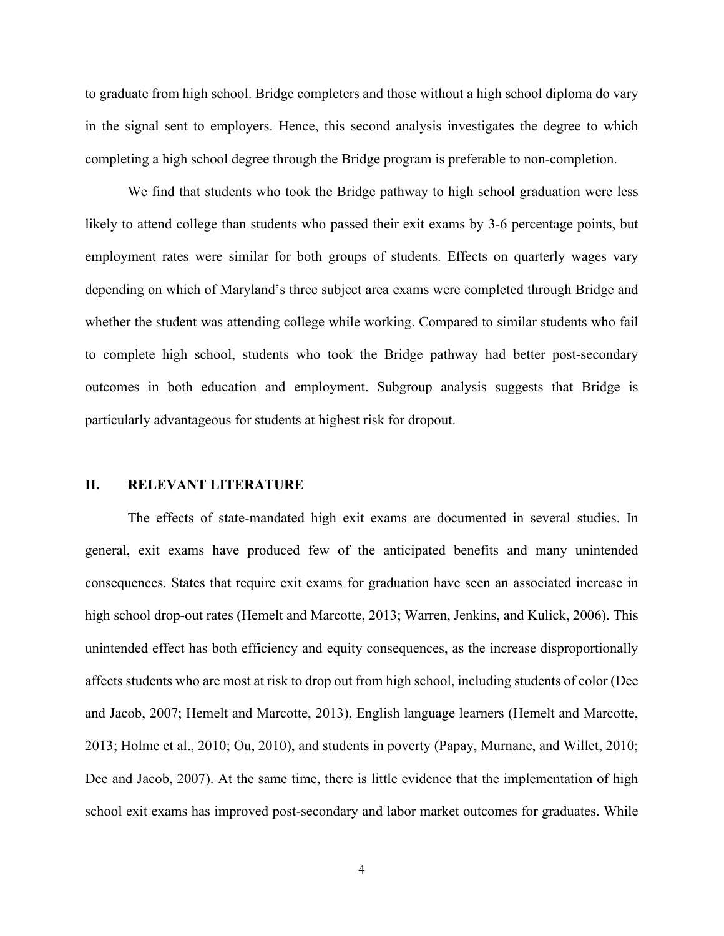to graduate from high school. Bridge completers and those without a high school diploma do vary in the signal sent to employers. Hence, this second analysis investigates the degree to which completing a high school degree through the Bridge program is preferable to non-completion.

We find that students who took the Bridge pathway to high school graduation were less likely to attend college than students who passed their exit exams by 3-6 percentage points, but employment rates were similar for both groups of students. Effects on quarterly wages vary depending on which of Maryland's three subject area exams were completed through Bridge and whether the student was attending college while working. Compared to similar students who fail to complete high school, students who took the Bridge pathway had better post-secondary outcomes in both education and employment. Subgroup analysis suggests that Bridge is particularly advantageous for students at highest risk for dropout.

#### **II. RELEVANT LITERATURE**

The effects of state-mandated high exit exams are documented in several studies. In general, exit exams have produced few of the anticipated benefits and many unintended consequences. States that require exit exams for graduation have seen an associated increase in high school drop-out rates (Hemelt and Marcotte, 2013; Warren, Jenkins, and Kulick, 2006). This unintended effect has both efficiency and equity consequences, as the increase disproportionally affects students who are most at risk to drop out from high school, including students of color (Dee and Jacob, 2007; Hemelt and Marcotte, 2013), English language learners (Hemelt and Marcotte, 2013; Holme et al., 2010; Ou, 2010), and students in poverty (Papay, Murnane, and Willet, 2010; Dee and Jacob, 2007). At the same time, there is little evidence that the implementation of high school exit exams has improved post-secondary and labor market outcomes for graduates. While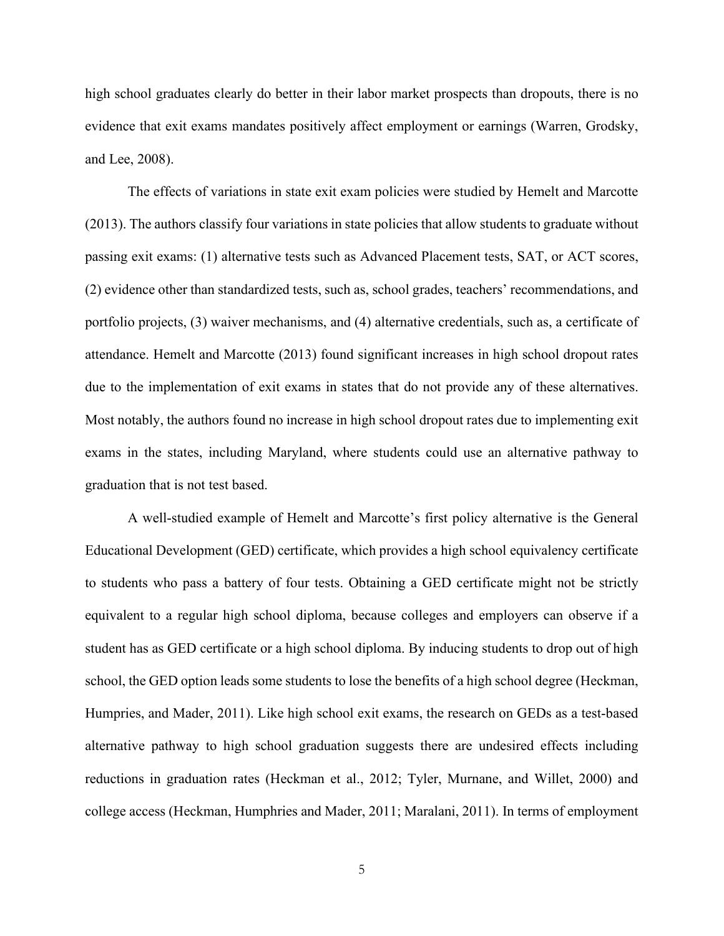high school graduates clearly do better in their labor market prospects than dropouts, there is no evidence that exit exams mandates positively affect employment or earnings (Warren, Grodsky, and Lee, 2008).

The effects of variations in state exit exam policies were studied by Hemelt and Marcotte (2013). The authors classify four variations in state policies that allow students to graduate without passing exit exams: (1) alternative tests such as Advanced Placement tests, SAT, or ACT scores, (2) evidence other than standardized tests, such as, school grades, teachers' recommendations, and portfolio projects, (3) waiver mechanisms, and (4) alternative credentials, such as, a certificate of attendance. Hemelt and Marcotte (2013) found significant increases in high school dropout rates due to the implementation of exit exams in states that do not provide any of these alternatives. Most notably, the authors found no increase in high school dropout rates due to implementing exit exams in the states, including Maryland, where students could use an alternative pathway to graduation that is not test based.

A well-studied example of Hemelt and Marcotte's first policy alternative is the General Educational Development (GED) certificate, which provides a high school equivalency certificate to students who pass a battery of four tests. Obtaining a GED certificate might not be strictly equivalent to a regular high school diploma, because colleges and employers can observe if a student has as GED certificate or a high school diploma. By inducing students to drop out of high school, the GED option leads some students to lose the benefits of a high school degree (Heckman, Humpries, and Mader, 2011). Like high school exit exams, the research on GEDs as a test-based alternative pathway to high school graduation suggests there are undesired effects including reductions in graduation rates (Heckman et al., 2012; Tyler, Murnane, and Willet, 2000) and college access (Heckman, Humphries and Mader, 2011; Maralani, 2011). In terms of employment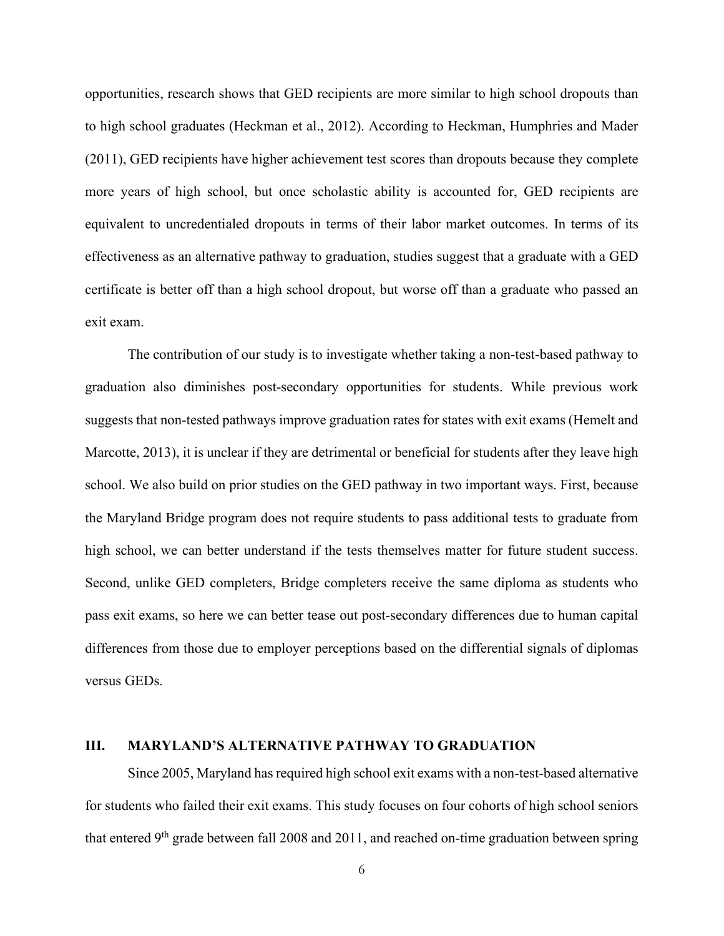opportunities, research shows that GED recipients are more similar to high school dropouts than to high school graduates (Heckman et al., 2012). According to Heckman, Humphries and Mader (2011), GED recipients have higher achievement test scores than dropouts because they complete more years of high school, but once scholastic ability is accounted for, GED recipients are equivalent to uncredentialed dropouts in terms of their labor market outcomes. In terms of its effectiveness as an alternative pathway to graduation, studies suggest that a graduate with a GED certificate is better off than a high school dropout, but worse off than a graduate who passed an exit exam.

The contribution of our study is to investigate whether taking a non-test-based pathway to graduation also diminishes post-secondary opportunities for students. While previous work suggests that non-tested pathways improve graduation rates for states with exit exams (Hemelt and Marcotte, 2013), it is unclear if they are detrimental or beneficial for students after they leave high school. We also build on prior studies on the GED pathway in two important ways. First, because the Maryland Bridge program does not require students to pass additional tests to graduate from high school, we can better understand if the tests themselves matter for future student success. Second, unlike GED completers, Bridge completers receive the same diploma as students who pass exit exams, so here we can better tease out post-secondary differences due to human capital differences from those due to employer perceptions based on the differential signals of diplomas versus GEDs.

#### **III. MARYLAND'S ALTERNATIVE PATHWAY TO GRADUATION**

Since 2005, Maryland has required high school exit exams with a non-test-based alternative for students who failed their exit exams. This study focuses on four cohorts of high school seniors that entered  $9<sup>th</sup>$  grade between fall 2008 and 2011, and reached on-time graduation between spring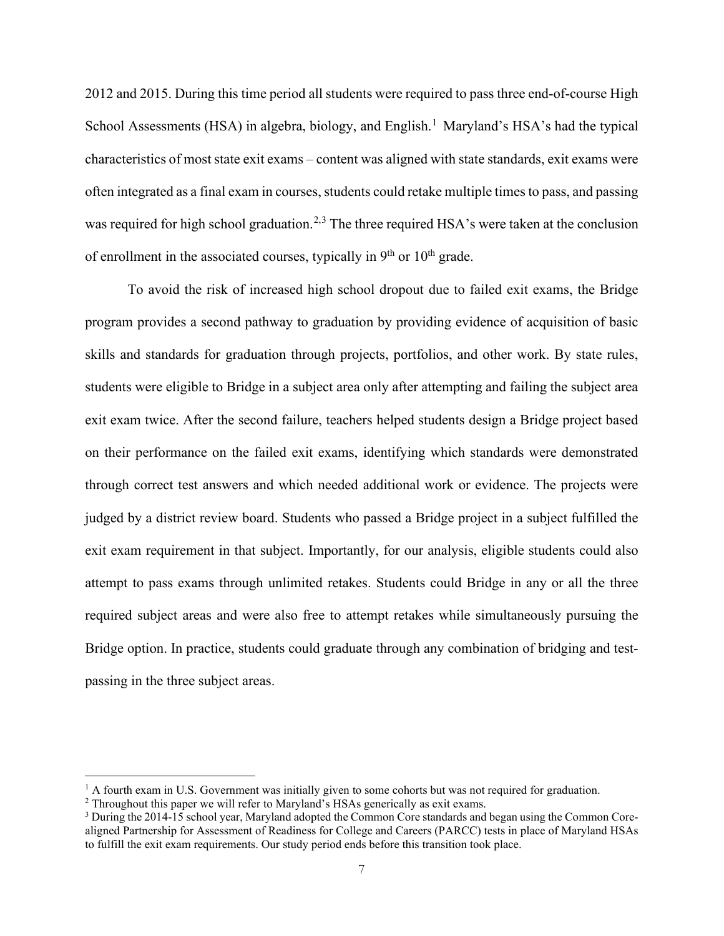2012 and 2015. During this time period all students were required to pass three end-of-course High School Assessments (HSA) in algebra, biology, and English.<sup>[1](#page-7-0)</sup> Maryland's HSA's had the typical characteristics of most state exit exams – content was aligned with state standards, exit exams were often integrated as a final exam in courses, students could retake multiple times to pass, and passing was required for high school graduation.<sup>[2,](#page-7-1)[3](#page-7-2)</sup> The three required HSA's were taken at the conclusion of enrollment in the associated courses, typically in  $9<sup>th</sup>$  or  $10<sup>th</sup>$  grade.

To avoid the risk of increased high school dropout due to failed exit exams, the Bridge program provides a second pathway to graduation by providing evidence of acquisition of basic skills and standards for graduation through projects, portfolios, and other work. By state rules, students were eligible to Bridge in a subject area only after attempting and failing the subject area exit exam twice. After the second failure, teachers helped students design a Bridge project based on their performance on the failed exit exams, identifying which standards were demonstrated through correct test answers and which needed additional work or evidence. The projects were judged by a district review board. Students who passed a Bridge project in a subject fulfilled the exit exam requirement in that subject. Importantly, for our analysis, eligible students could also attempt to pass exams through unlimited retakes. Students could Bridge in any or all the three required subject areas and were also free to attempt retakes while simultaneously pursuing the Bridge option. In practice, students could graduate through any combination of bridging and testpassing in the three subject areas.

<span id="page-7-0"></span> $<sup>1</sup>$  A fourth exam in U.S. Government was initially given to some cohorts but was not required for graduation.</sup>

<span id="page-7-1"></span><sup>&</sup>lt;sup>2</sup> Throughout this paper we will refer to Maryland's HSAs generically as exit exams.

<span id="page-7-2"></span><sup>3</sup> During the 2014-15 school year, Maryland adopted the Common Core standards and began using the Common Corealigned Partnership for Assessment of Readiness for College and Careers (PARCC) tests in place of Maryland HSAs to fulfill the exit exam requirements. Our study period ends before this transition took place.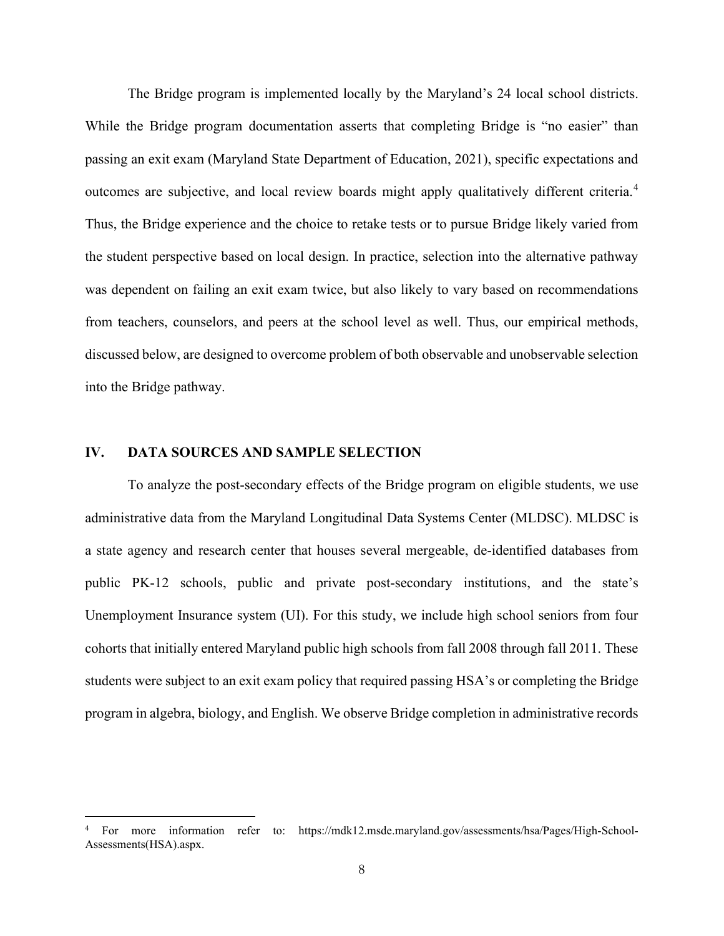The Bridge program is implemented locally by the Maryland's 24 local school districts. While the Bridge program documentation asserts that completing Bridge is "no easier" than passing an exit exam (Maryland State Department of Education, 2021), specific expectations and outcomes are subjective, and local review boards might apply qualitatively different criteria.[4](#page-8-0) Thus, the Bridge experience and the choice to retake tests or to pursue Bridge likely varied from the student perspective based on local design. In practice, selection into the alternative pathway was dependent on failing an exit exam twice, but also likely to vary based on recommendations from teachers, counselors, and peers at the school level as well. Thus, our empirical methods, discussed below, are designed to overcome problem of both observable and unobservable selection into the Bridge pathway.

### **IV. DATA SOURCES AND SAMPLE SELECTION**

To analyze the post-secondary effects of the Bridge program on eligible students, we use administrative data from the Maryland Longitudinal Data Systems Center (MLDSC). MLDSC is a state agency and research center that houses several mergeable, de-identified databases from public PK-12 schools, public and private post-secondary institutions, and the state's Unemployment Insurance system (UI). For this study, we include high school seniors from four cohorts that initially entered Maryland public high schools from fall 2008 through fall 2011. These students were subject to an exit exam policy that required passing HSA's or completing the Bridge program in algebra, biology, and English. We observe Bridge completion in administrative records

<span id="page-8-0"></span><sup>4</sup> For more information refer to: https://mdk12.msde.maryland.gov/assessments/hsa/Pages/High-School-Assessments(HSA).aspx.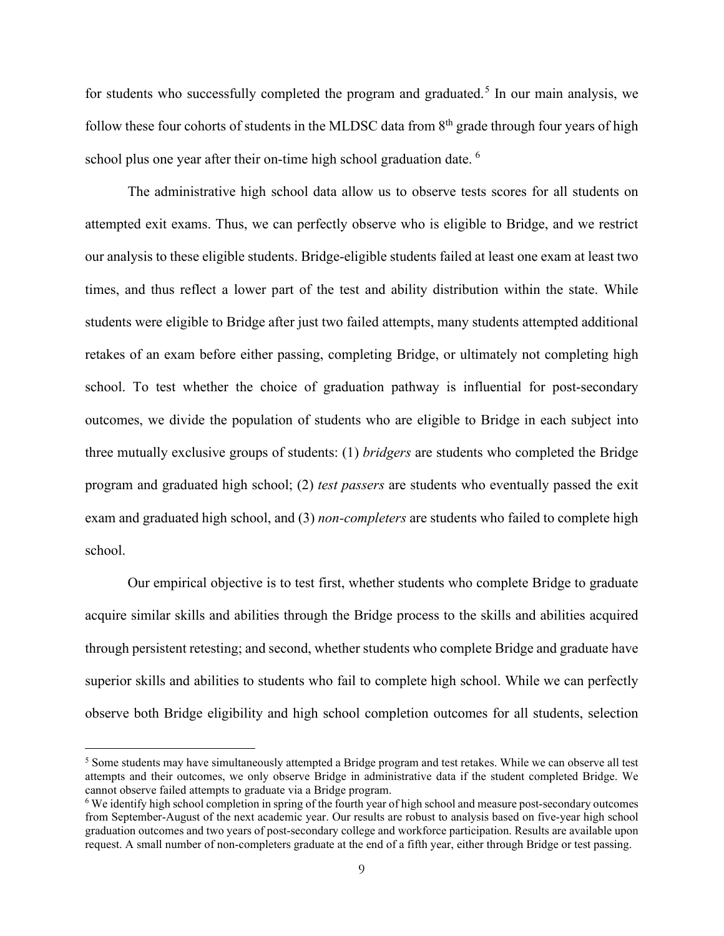for students who successfully completed the program and graduated.<sup>[5](#page-9-0)</sup> In our main analysis, we follow these four cohorts of students in the MLDSC data from  $8<sup>th</sup>$  grade through four years of high school plus one year after their on-time high school graduation date. <sup>[6](#page-9-1)</sup>

The administrative high school data allow us to observe tests scores for all students on attempted exit exams. Thus, we can perfectly observe who is eligible to Bridge, and we restrict our analysis to these eligible students. Bridge-eligible students failed at least one exam at least two times, and thus reflect a lower part of the test and ability distribution within the state. While students were eligible to Bridge after just two failed attempts, many students attempted additional retakes of an exam before either passing, completing Bridge, or ultimately not completing high school. To test whether the choice of graduation pathway is influential for post-secondary outcomes, we divide the population of students who are eligible to Bridge in each subject into three mutually exclusive groups of students: (1) *bridgers* are students who completed the Bridge program and graduated high school; (2) *test passers* are students who eventually passed the exit exam and graduated high school, and (3) *non-completers* are students who failed to complete high school.

Our empirical objective is to test first, whether students who complete Bridge to graduate acquire similar skills and abilities through the Bridge process to the skills and abilities acquired through persistent retesting; and second, whether students who complete Bridge and graduate have superior skills and abilities to students who fail to complete high school. While we can perfectly observe both Bridge eligibility and high school completion outcomes for all students, selection

<span id="page-9-0"></span><sup>&</sup>lt;sup>5</sup> Some students may have simultaneously attempted a Bridge program and test retakes. While we can observe all test attempts and their outcomes, we only observe Bridge in administrative data if the student completed Bridge. We cannot observe failed attempts to graduate via a Bridge program.

<span id="page-9-1"></span><sup>6</sup> We identify high school completion in spring of the fourth year of high school and measure post-secondary outcomes from September-August of the next academic year. Our results are robust to analysis based on five-year high school graduation outcomes and two years of post-secondary college and workforce participation. Results are available upon request. A small number of non-completers graduate at the end of a fifth year, either through Bridge or test passing.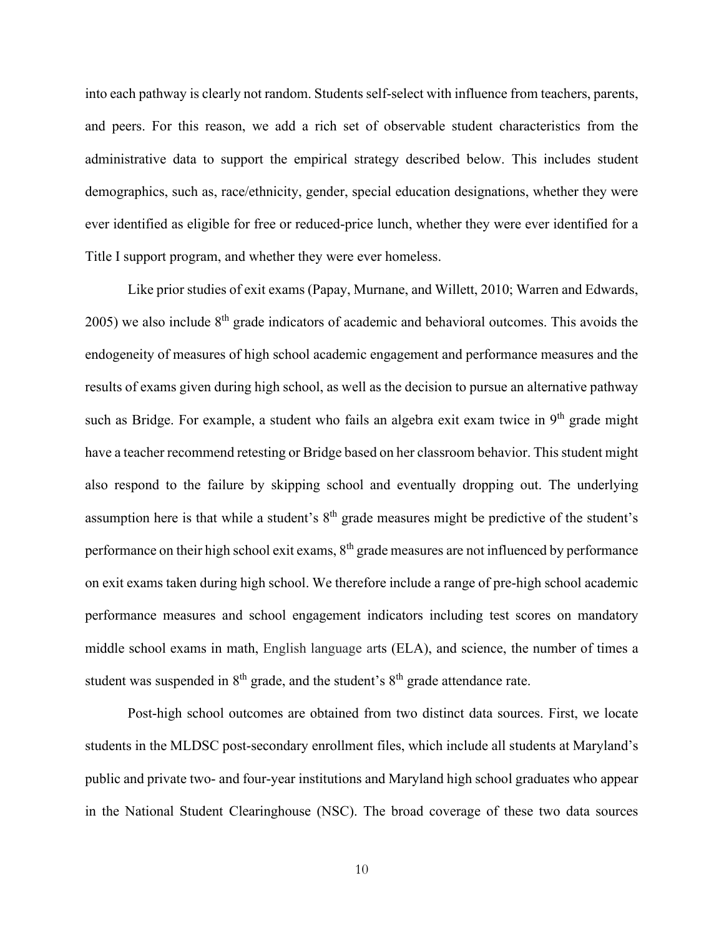into each pathway is clearly not random. Students self-select with influence from teachers, parents, and peers. For this reason, we add a rich set of observable student characteristics from the administrative data to support the empirical strategy described below. This includes student demographics, such as, race/ethnicity, gender, special education designations, whether they were ever identified as eligible for free or reduced-price lunch, whether they were ever identified for a Title I support program, and whether they were ever homeless.

Like prior studies of exit exams (Papay, Murnane, and Willett, 2010; Warren and Edwards,  $2005$ ) we also include  $8<sup>th</sup>$  grade indicators of academic and behavioral outcomes. This avoids the endogeneity of measures of high school academic engagement and performance measures and the results of exams given during high school, as well as the decision to pursue an alternative pathway such as Bridge. For example, a student who fails an algebra exit exam twice in  $9<sup>th</sup>$  grade might have a teacher recommend retesting or Bridge based on her classroom behavior. This student might also respond to the failure by skipping school and eventually dropping out. The underlying assumption here is that while a student's  $8<sup>th</sup>$  grade measures might be predictive of the student's performance on their high school exit exams,  $8<sup>th</sup>$  grade measures are not influenced by performance on exit exams taken during high school. We therefore include a range of pre-high school academic performance measures and school engagement indicators including test scores on mandatory middle school exams in math, English language arts (ELA), and science, the number of times a student was suspended in  $8<sup>th</sup>$  grade, and the student's  $8<sup>th</sup>$  grade attendance rate.

Post-high school outcomes are obtained from two distinct data sources. First, we locate students in the MLDSC post-secondary enrollment files, which include all students at Maryland's public and private two- and four-year institutions and Maryland high school graduates who appear in the National Student Clearinghouse (NSC). The broad coverage of these two data sources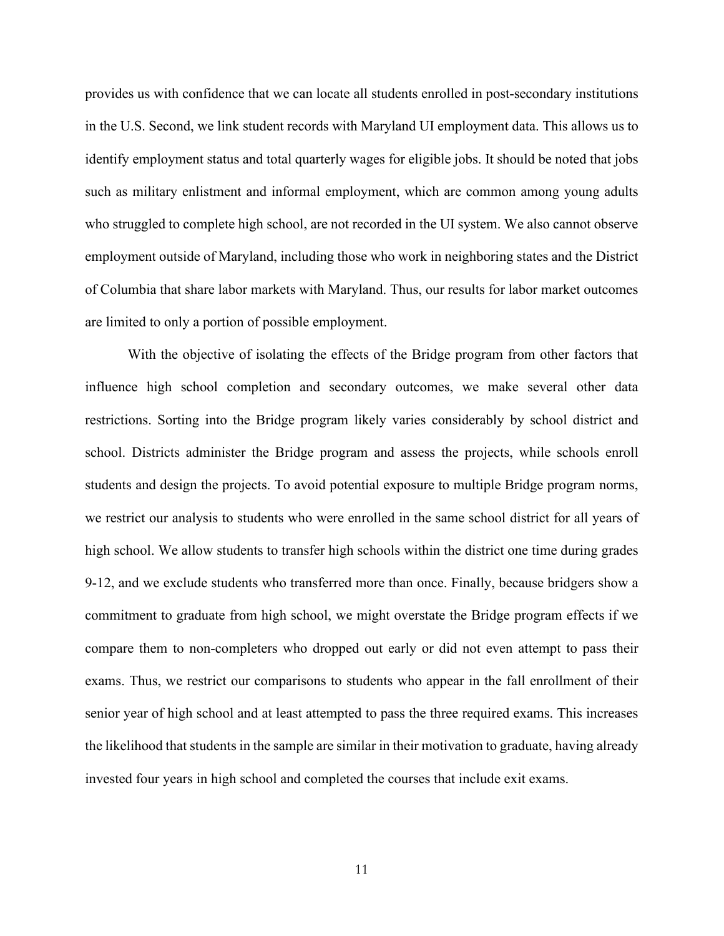provides us with confidence that we can locate all students enrolled in post-secondary institutions in the U.S. Second, we link student records with Maryland UI employment data. This allows us to identify employment status and total quarterly wages for eligible jobs. It should be noted that jobs such as military enlistment and informal employment, which are common among young adults who struggled to complete high school, are not recorded in the UI system. We also cannot observe employment outside of Maryland, including those who work in neighboring states and the District of Columbia that share labor markets with Maryland. Thus, our results for labor market outcomes are limited to only a portion of possible employment.

With the objective of isolating the effects of the Bridge program from other factors that influence high school completion and secondary outcomes, we make several other data restrictions. Sorting into the Bridge program likely varies considerably by school district and school. Districts administer the Bridge program and assess the projects, while schools enroll students and design the projects. To avoid potential exposure to multiple Bridge program norms, we restrict our analysis to students who were enrolled in the same school district for all years of high school. We allow students to transfer high schools within the district one time during grades 9-12, and we exclude students who transferred more than once. Finally, because bridgers show a commitment to graduate from high school, we might overstate the Bridge program effects if we compare them to non-completers who dropped out early or did not even attempt to pass their exams. Thus, we restrict our comparisons to students who appear in the fall enrollment of their senior year of high school and at least attempted to pass the three required exams. This increases the likelihood that students in the sample are similar in their motivation to graduate, having already invested four years in high school and completed the courses that include exit exams.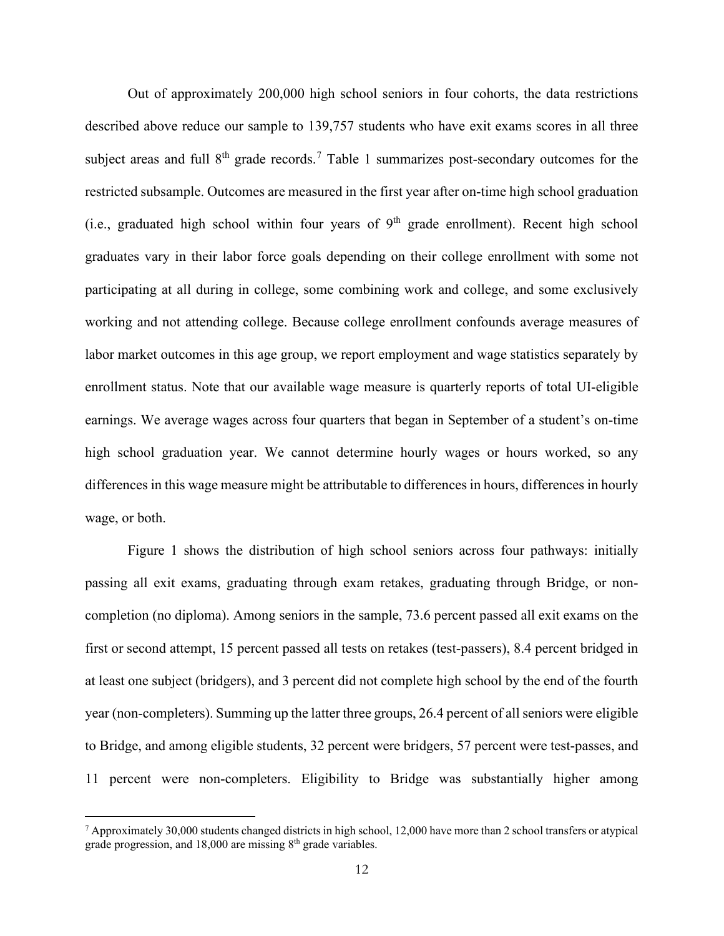Out of approximately 200,000 high school seniors in four cohorts, the data restrictions described above reduce our sample to 139,757 students who have exit exams scores in all three subject areas and full  $8<sup>th</sup>$  grade records.<sup>[7](#page-12-0)</sup> Table 1 summarizes post-secondary outcomes for the restricted subsample. Outcomes are measured in the first year after on-time high school graduation (i.e., graduated high school within four years of  $9<sup>th</sup>$  grade enrollment). Recent high school graduates vary in their labor force goals depending on their college enrollment with some not participating at all during in college, some combining work and college, and some exclusively working and not attending college. Because college enrollment confounds average measures of labor market outcomes in this age group, we report employment and wage statistics separately by enrollment status. Note that our available wage measure is quarterly reports of total UI-eligible earnings. We average wages across four quarters that began in September of a student's on-time high school graduation year. We cannot determine hourly wages or hours worked, so any differences in this wage measure might be attributable to differences in hours, differences in hourly wage, or both.

Figure 1 shows the distribution of high school seniors across four pathways: initially passing all exit exams, graduating through exam retakes, graduating through Bridge, or noncompletion (no diploma). Among seniors in the sample, 73.6 percent passed all exit exams on the first or second attempt, 15 percent passed all tests on retakes (test-passers), 8.4 percent bridged in at least one subject (bridgers), and 3 percent did not complete high school by the end of the fourth year (non-completers). Summing up the latter three groups, 26.4 percent of all seniors were eligible to Bridge, and among eligible students, 32 percent were bridgers, 57 percent were test-passes, and 11 percent were non-completers. Eligibility to Bridge was substantially higher among

<span id="page-12-0"></span> $7$  Approximately 30,000 students changed districts in high school, 12,000 have more than 2 school transfers or atypical grade progression, and  $18,000$  are missing  $8<sup>th</sup>$  grade variables.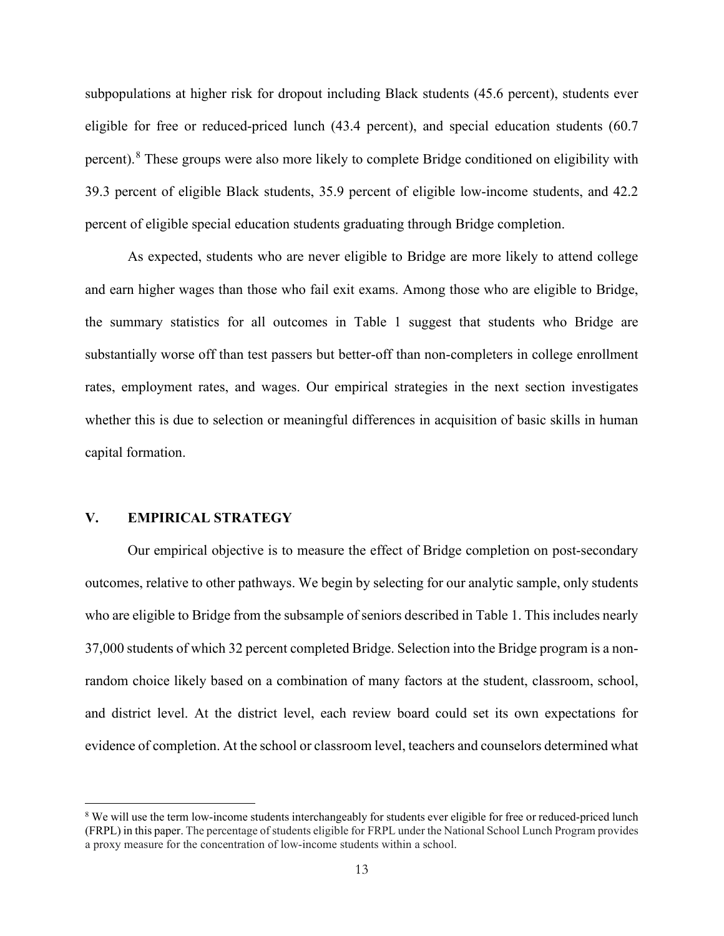subpopulations at higher risk for dropout including Black students (45.6 percent), students ever eligible for free or reduced-priced lunch (43.4 percent), and special education students (60.7 percent).[8](#page-13-0) These groups were also more likely to complete Bridge conditioned on eligibility with 39.3 percent of eligible Black students, 35.9 percent of eligible low-income students, and 42.2 percent of eligible special education students graduating through Bridge completion.

As expected, students who are never eligible to Bridge are more likely to attend college and earn higher wages than those who fail exit exams. Among those who are eligible to Bridge, the summary statistics for all outcomes in Table 1 suggest that students who Bridge are substantially worse off than test passers but better-off than non-completers in college enrollment rates, employment rates, and wages. Our empirical strategies in the next section investigates whether this is due to selection or meaningful differences in acquisition of basic skills in human capital formation.

# **V. EMPIRICAL STRATEGY**

Our empirical objective is to measure the effect of Bridge completion on post-secondary outcomes, relative to other pathways. We begin by selecting for our analytic sample, only students who are eligible to Bridge from the subsample of seniors described in Table 1. This includes nearly 37,000 students of which 32 percent completed Bridge. Selection into the Bridge program is a nonrandom choice likely based on a combination of many factors at the student, classroom, school, and district level. At the district level, each review board could set its own expectations for evidence of completion. At the school or classroom level, teachers and counselors determined what

<span id="page-13-0"></span><sup>&</sup>lt;sup>8</sup> We will use the term low-income students interchangeably for students ever eligible for free or reduced-priced lunch (FRPL) in this paper. The percentage of students eligible for FRPL under the National School Lunch Program provides a proxy measure for the concentration of low-income students within a school.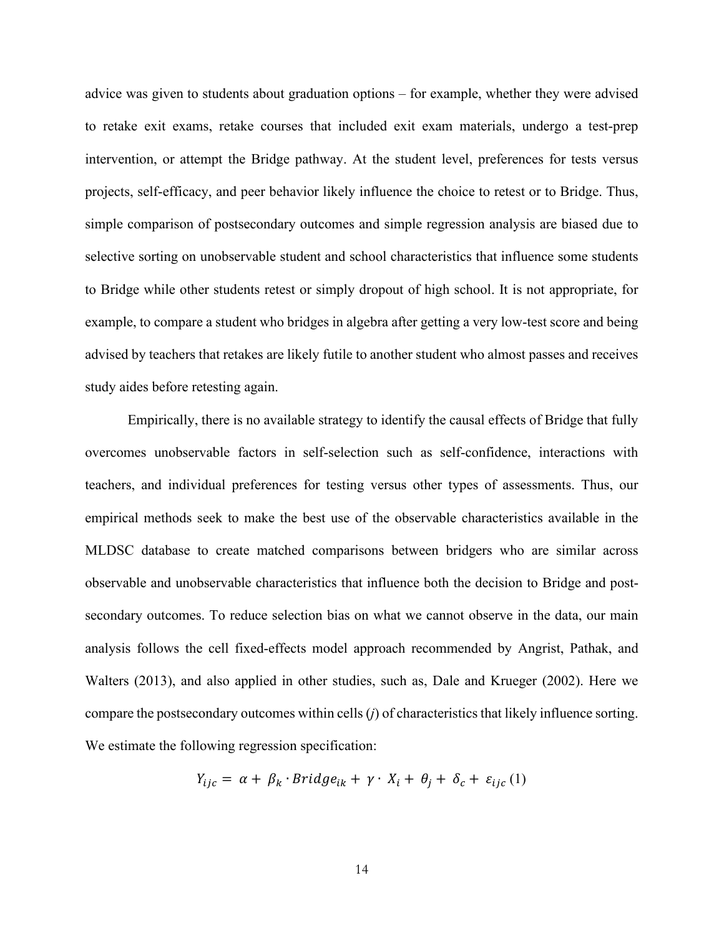advice was given to students about graduation options – for example, whether they were advised to retake exit exams, retake courses that included exit exam materials, undergo a test-prep intervention, or attempt the Bridge pathway. At the student level, preferences for tests versus projects, self-efficacy, and peer behavior likely influence the choice to retest or to Bridge. Thus, simple comparison of postsecondary outcomes and simple regression analysis are biased due to selective sorting on unobservable student and school characteristics that influence some students to Bridge while other students retest or simply dropout of high school. It is not appropriate, for example, to compare a student who bridges in algebra after getting a very low-test score and being advised by teachers that retakes are likely futile to another student who almost passes and receives study aides before retesting again.

Empirically, there is no available strategy to identify the causal effects of Bridge that fully overcomes unobservable factors in self-selection such as self-confidence, interactions with teachers, and individual preferences for testing versus other types of assessments. Thus, our empirical methods seek to make the best use of the observable characteristics available in the MLDSC database to create matched comparisons between bridgers who are similar across observable and unobservable characteristics that influence both the decision to Bridge and postsecondary outcomes. To reduce selection bias on what we cannot observe in the data, our main analysis follows the cell fixed-effects model approach recommended by Angrist, Pathak, and Walters (2013), and also applied in other studies, such as, Dale and Krueger (2002). Here we compare the postsecondary outcomes within cells (*j*) of characteristics that likely influence sorting. We estimate the following regression specification:

$$
Y_{ijc} = \alpha + \beta_k \cdot Bridge_{ik} + \gamma \cdot X_i + \theta_j + \delta_c + \varepsilon_{ijc} \tag{1}
$$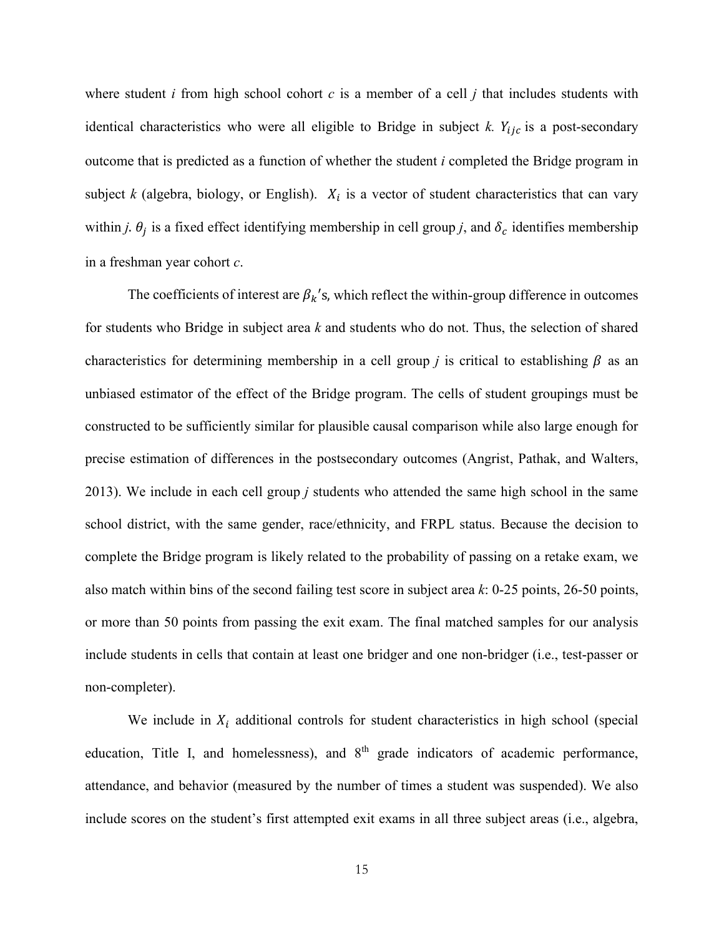where student *i* from high school cohort *c* is a member of a cell *j* that includes students with identical characteristics who were all eligible to Bridge in subject  $k$ .  $Y_{ijc}$  is a post-secondary outcome that is predicted as a function of whether the student *i* completed the Bridge program in subject  $k$  (algebra, biology, or English).  $X_i$  is a vector of student characteristics that can vary within *j*.  $\theta_j$  is a fixed effect identifying membership in cell group *j*, and  $\delta_c$  identifies membership in a freshman year cohort *c*.

The coefficients of interest are  $\beta_k$ 's, which reflect the within-group difference in outcomes for students who Bridge in subject area *k* and students who do not. Thus, the selection of shared characteristics for determining membership in a cell group *j* is critical to establishing  $\beta$  as an unbiased estimator of the effect of the Bridge program. The cells of student groupings must be constructed to be sufficiently similar for plausible causal comparison while also large enough for precise estimation of differences in the postsecondary outcomes (Angrist, Pathak, and Walters, 2013). We include in each cell group *j* students who attended the same high school in the same school district, with the same gender, race/ethnicity, and FRPL status. Because the decision to complete the Bridge program is likely related to the probability of passing on a retake exam, we also match within bins of the second failing test score in subject area *k*: 0-25 points, 26-50 points, or more than 50 points from passing the exit exam. The final matched samples for our analysis include students in cells that contain at least one bridger and one non-bridger (i.e., test-passer or non-completer).

We include in  $X_i$  additional controls for student characteristics in high school (special education, Title I, and homelessness), and 8<sup>th</sup> grade indicators of academic performance, attendance, and behavior (measured by the number of times a student was suspended). We also include scores on the student's first attempted exit exams in all three subject areas (i.e., algebra,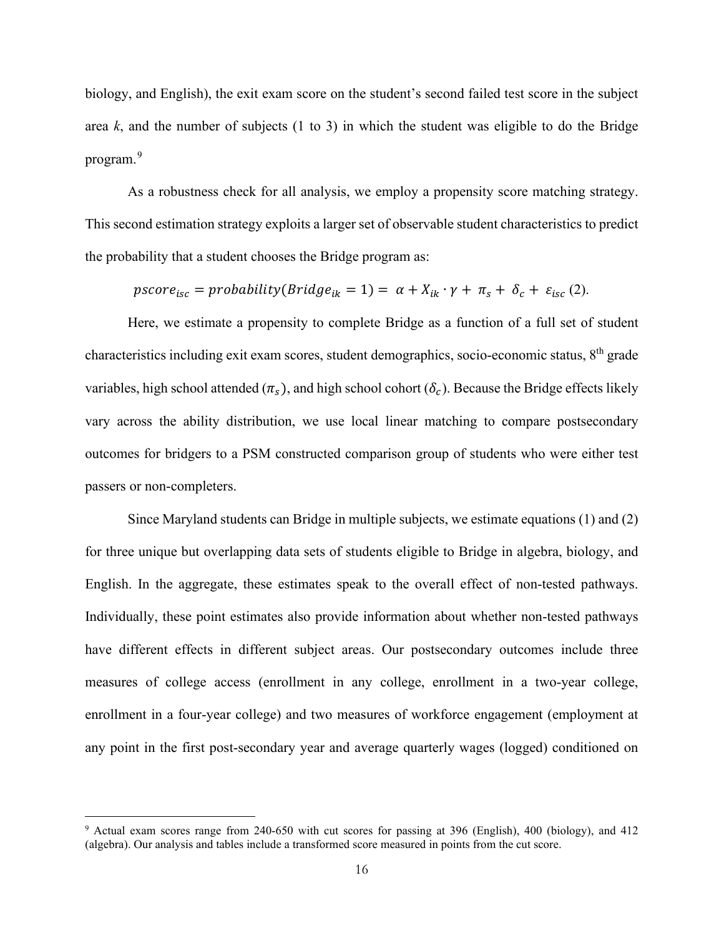biology, and English), the exit exam score on the student's second failed test score in the subject area *k*, and the number of subjects (1 to 3) in which the student was eligible to do the Bridge program. [9](#page-16-0)

As a robustness check for all analysis, we employ a propensity score matching strategy. This second estimation strategy exploits a larger set of observable student characteristics to predict the probability that a student chooses the Bridge program as:

 $pscore_{isc} = probability(Bridge_{ik} = 1) = \alpha + X_{ik} \cdot \gamma + \pi_s + \delta_c + \varepsilon_{isc}$  (2).

Here, we estimate a propensity to complete Bridge as a function of a full set of student characteristics including exit exam scores, student demographics, socio-economic status, 8th grade variables, high school attended  $(\pi_s)$ , and high school cohort  $(\delta_c)$ . Because the Bridge effects likely vary across the ability distribution, we use local linear matching to compare postsecondary outcomes for bridgers to a PSM constructed comparison group of students who were either test passers or non-completers.

Since Maryland students can Bridge in multiple subjects, we estimate equations (1) and (2) for three unique but overlapping data sets of students eligible to Bridge in algebra, biology, and English. In the aggregate, these estimates speak to the overall effect of non-tested pathways. Individually, these point estimates also provide information about whether non-tested pathways have different effects in different subject areas. Our postsecondary outcomes include three measures of college access (enrollment in any college, enrollment in a two-year college, enrollment in a four-year college) and two measures of workforce engagement (employment at any point in the first post-secondary year and average quarterly wages (logged) conditioned on

<span id="page-16-0"></span><sup>9</sup> Actual exam scores range from 240-650 with cut scores for passing at 396 (English), 400 (biology), and 412 (algebra). Our analysis and tables include a transformed score measured in points from the cut score.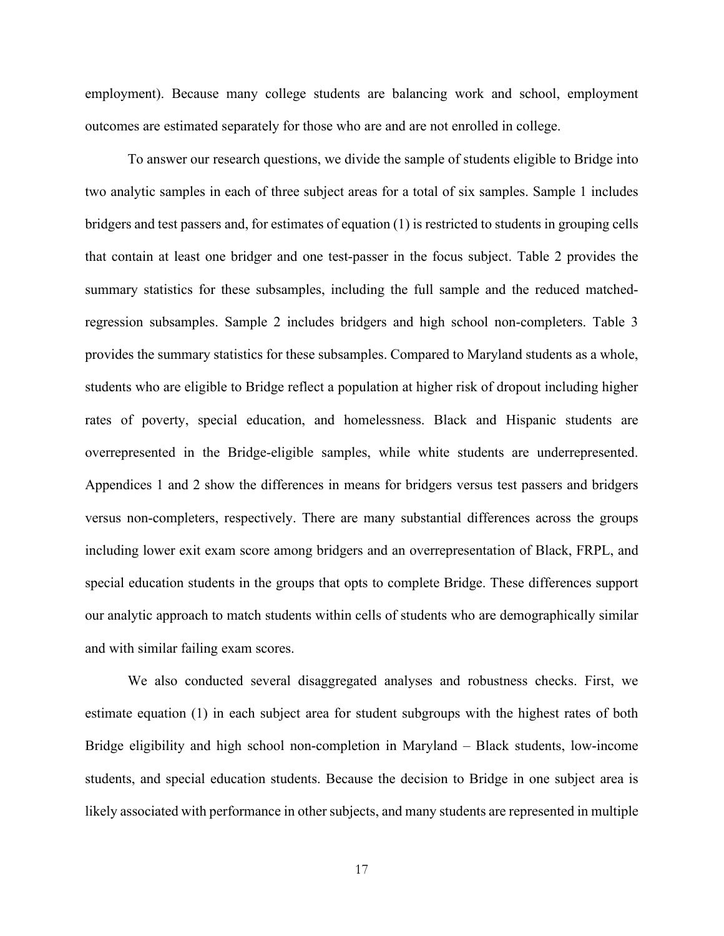employment). Because many college students are balancing work and school, employment outcomes are estimated separately for those who are and are not enrolled in college.

To answer our research questions, we divide the sample of students eligible to Bridge into two analytic samples in each of three subject areas for a total of six samples. Sample 1 includes bridgers and test passers and, for estimates of equation (1) is restricted to students in grouping cells that contain at least one bridger and one test-passer in the focus subject. Table 2 provides the summary statistics for these subsamples, including the full sample and the reduced matchedregression subsamples. Sample 2 includes bridgers and high school non-completers. Table 3 provides the summary statistics for these subsamples. Compared to Maryland students as a whole, students who are eligible to Bridge reflect a population at higher risk of dropout including higher rates of poverty, special education, and homelessness. Black and Hispanic students are overrepresented in the Bridge-eligible samples, while white students are underrepresented. Appendices 1 and 2 show the differences in means for bridgers versus test passers and bridgers versus non-completers, respectively. There are many substantial differences across the groups including lower exit exam score among bridgers and an overrepresentation of Black, FRPL, and special education students in the groups that opts to complete Bridge. These differences support our analytic approach to match students within cells of students who are demographically similar and with similar failing exam scores.

We also conducted several disaggregated analyses and robustness checks. First, we estimate equation (1) in each subject area for student subgroups with the highest rates of both Bridge eligibility and high school non-completion in Maryland – Black students, low-income students, and special education students. Because the decision to Bridge in one subject area is likely associated with performance in other subjects, and many students are represented in multiple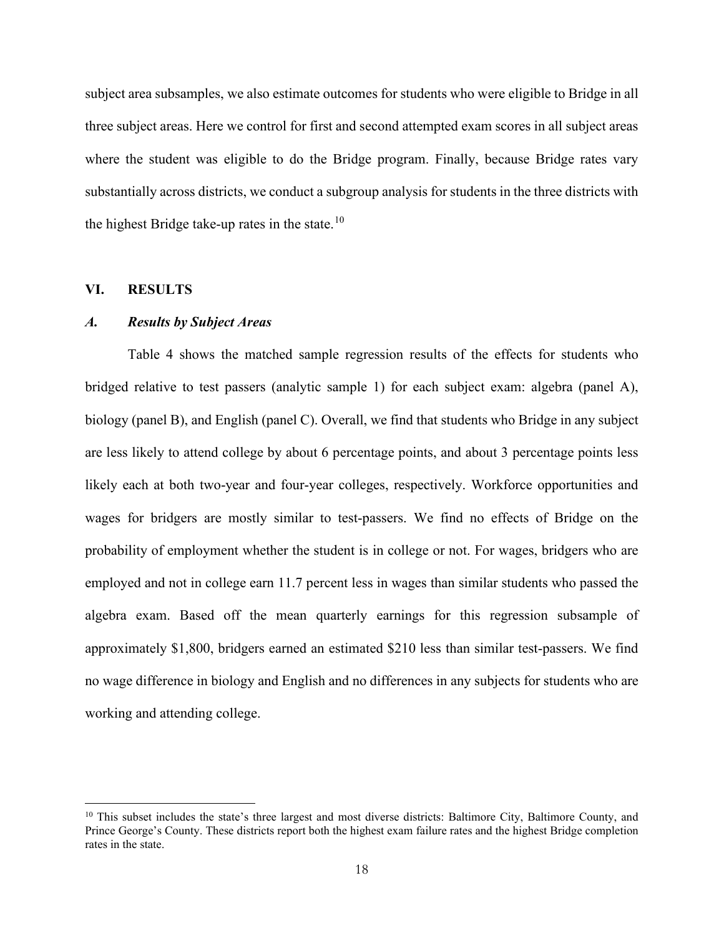subject area subsamples, we also estimate outcomes for students who were eligible to Bridge in all three subject areas. Here we control for first and second attempted exam scores in all subject areas where the student was eligible to do the Bridge program. Finally, because Bridge rates vary substantially across districts, we conduct a subgroup analysis for students in the three districts with the highest Bridge take-up rates in the state.<sup>[10](#page-18-0)</sup>

#### **VI. RESULTS**

### *A. Results by Subject Areas*

Table 4 shows the matched sample regression results of the effects for students who bridged relative to test passers (analytic sample 1) for each subject exam: algebra (panel A), biology (panel B), and English (panel C). Overall, we find that students who Bridge in any subject are less likely to attend college by about 6 percentage points, and about 3 percentage points less likely each at both two-year and four-year colleges, respectively. Workforce opportunities and wages for bridgers are mostly similar to test-passers. We find no effects of Bridge on the probability of employment whether the student is in college or not. For wages, bridgers who are employed and not in college earn 11.7 percent less in wages than similar students who passed the algebra exam. Based off the mean quarterly earnings for this regression subsample of approximately \$1,800, bridgers earned an estimated \$210 less than similar test-passers. We find no wage difference in biology and English and no differences in any subjects for students who are working and attending college.

<span id="page-18-0"></span> $10$  This subset includes the state's three largest and most diverse districts: Baltimore City, Baltimore County, and Prince George's County. These districts report both the highest exam failure rates and the highest Bridge completion rates in the state.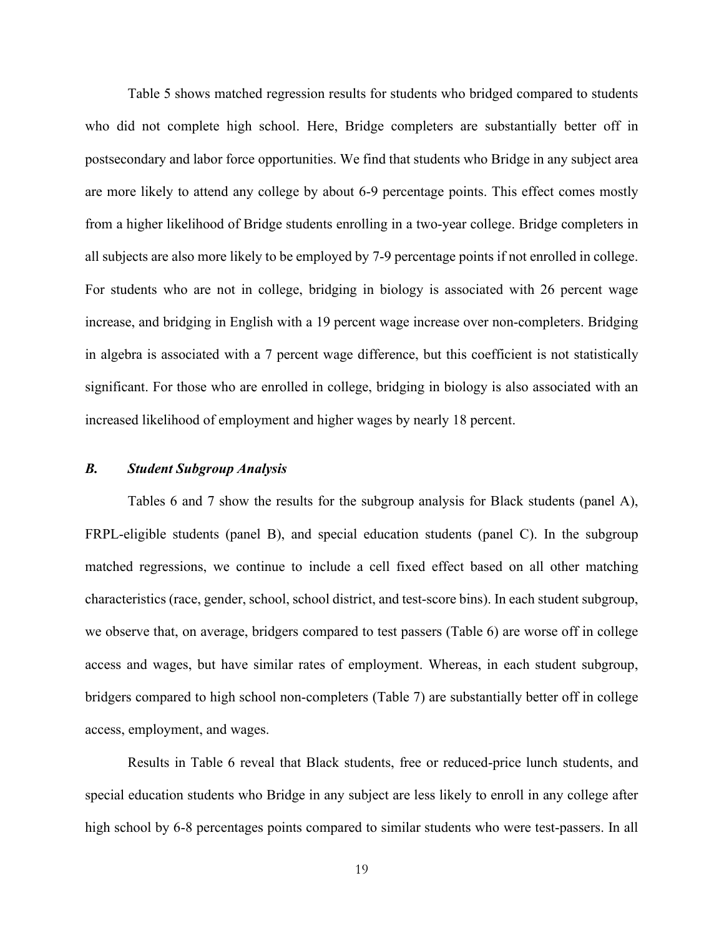Table 5 shows matched regression results for students who bridged compared to students who did not complete high school. Here, Bridge completers are substantially better off in postsecondary and labor force opportunities. We find that students who Bridge in any subject area are more likely to attend any college by about 6-9 percentage points. This effect comes mostly from a higher likelihood of Bridge students enrolling in a two-year college. Bridge completers in all subjects are also more likely to be employed by 7-9 percentage points if not enrolled in college. For students who are not in college, bridging in biology is associated with 26 percent wage increase, and bridging in English with a 19 percent wage increase over non-completers. Bridging in algebra is associated with a 7 percent wage difference, but this coefficient is not statistically significant. For those who are enrolled in college, bridging in biology is also associated with an increased likelihood of employment and higher wages by nearly 18 percent.

# *B. Student Subgroup Analysis*

Tables 6 and 7 show the results for the subgroup analysis for Black students (panel A), FRPL-eligible students (panel B), and special education students (panel C). In the subgroup matched regressions, we continue to include a cell fixed effect based on all other matching characteristics (race, gender, school, school district, and test-score bins). In each student subgroup, we observe that, on average, bridgers compared to test passers (Table 6) are worse off in college access and wages, but have similar rates of employment. Whereas, in each student subgroup, bridgers compared to high school non-completers (Table 7) are substantially better off in college access, employment, and wages.

Results in Table 6 reveal that Black students, free or reduced-price lunch students, and special education students who Bridge in any subject are less likely to enroll in any college after high school by 6-8 percentages points compared to similar students who were test-passers. In all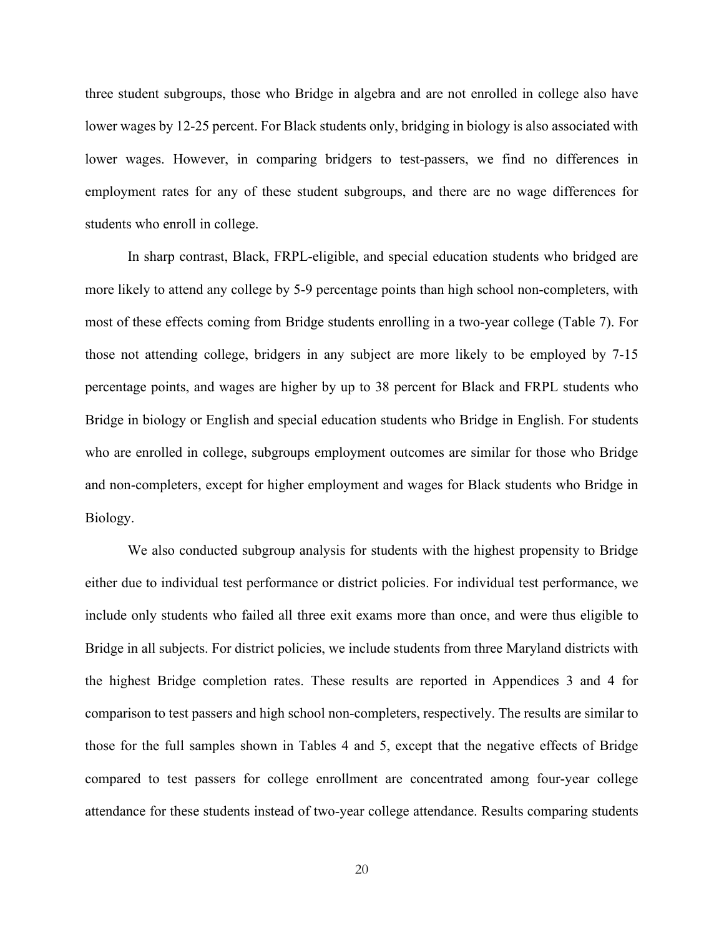three student subgroups, those who Bridge in algebra and are not enrolled in college also have lower wages by 12-25 percent. For Black students only, bridging in biology is also associated with lower wages. However, in comparing bridgers to test-passers, we find no differences in employment rates for any of these student subgroups, and there are no wage differences for students who enroll in college.

In sharp contrast, Black, FRPL-eligible, and special education students who bridged are more likely to attend any college by 5-9 percentage points than high school non-completers, with most of these effects coming from Bridge students enrolling in a two-year college (Table 7). For those not attending college, bridgers in any subject are more likely to be employed by 7-15 percentage points, and wages are higher by up to 38 percent for Black and FRPL students who Bridge in biology or English and special education students who Bridge in English. For students who are enrolled in college, subgroups employment outcomes are similar for those who Bridge and non-completers, except for higher employment and wages for Black students who Bridge in Biology.

We also conducted subgroup analysis for students with the highest propensity to Bridge either due to individual test performance or district policies. For individual test performance, we include only students who failed all three exit exams more than once, and were thus eligible to Bridge in all subjects. For district policies, we include students from three Maryland districts with the highest Bridge completion rates. These results are reported in Appendices 3 and 4 for comparison to test passers and high school non-completers, respectively. The results are similar to those for the full samples shown in Tables 4 and 5, except that the negative effects of Bridge compared to test passers for college enrollment are concentrated among four-year college attendance for these students instead of two-year college attendance. Results comparing students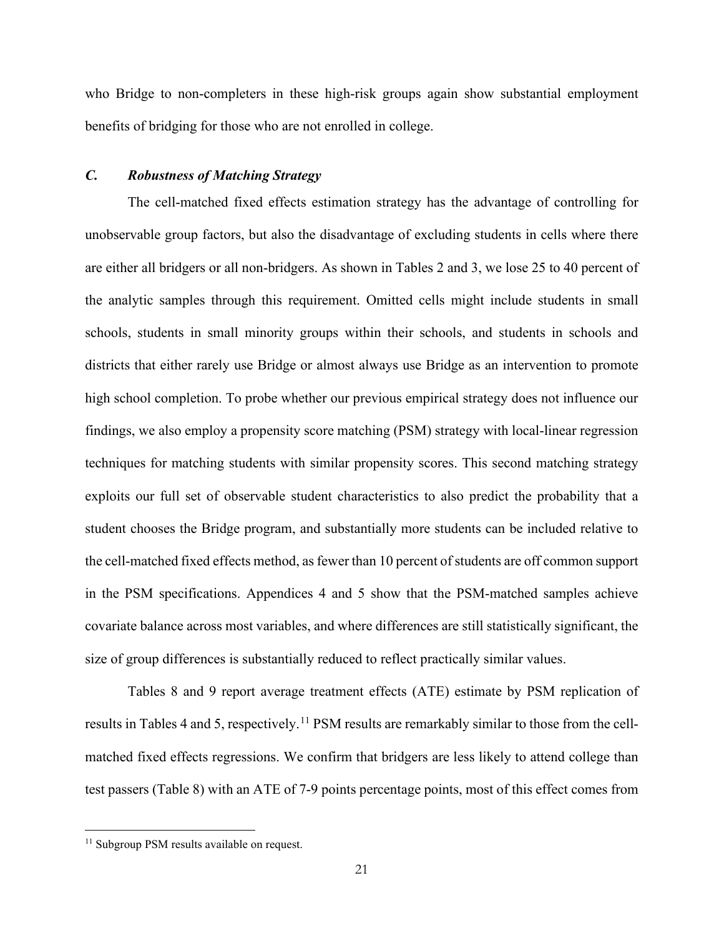who Bridge to non-completers in these high-risk groups again show substantial employment benefits of bridging for those who are not enrolled in college.

# *C. Robustness of Matching Strategy*

The cell-matched fixed effects estimation strategy has the advantage of controlling for unobservable group factors, but also the disadvantage of excluding students in cells where there are either all bridgers or all non-bridgers. As shown in Tables 2 and 3, we lose 25 to 40 percent of the analytic samples through this requirement. Omitted cells might include students in small schools, students in small minority groups within their schools, and students in schools and districts that either rarely use Bridge or almost always use Bridge as an intervention to promote high school completion. To probe whether our previous empirical strategy does not influence our findings, we also employ a propensity score matching (PSM) strategy with local-linear regression techniques for matching students with similar propensity scores. This second matching strategy exploits our full set of observable student characteristics to also predict the probability that a student chooses the Bridge program, and substantially more students can be included relative to the cell-matched fixed effects method, as fewer than 10 percent of students are off common support in the PSM specifications. Appendices 4 and 5 show that the PSM-matched samples achieve covariate balance across most variables, and where differences are still statistically significant, the size of group differences is substantially reduced to reflect practically similar values.

Tables 8 and 9 report average treatment effects (ATE) estimate by PSM replication of results in Tables 4 and 5, respectively.<sup>[11](#page-21-0)</sup> PSM results are remarkably similar to those from the cellmatched fixed effects regressions. We confirm that bridgers are less likely to attend college than test passers (Table 8) with an ATE of 7-9 points percentage points, most of this effect comes from

<span id="page-21-0"></span><sup>&</sup>lt;sup>11</sup> Subgroup PSM results available on request.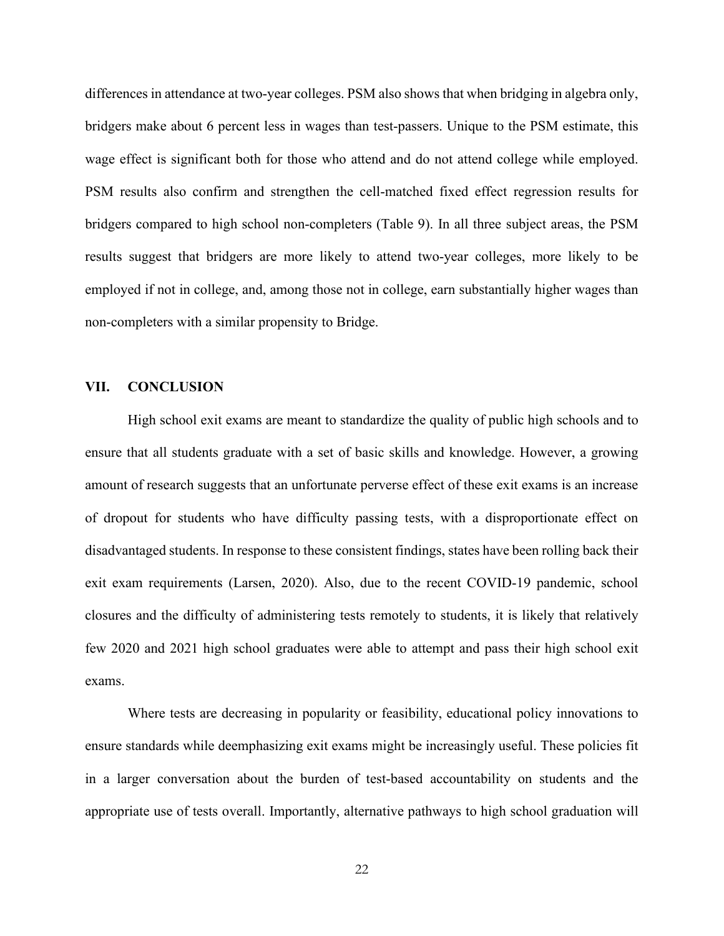differences in attendance at two-year colleges. PSM also shows that when bridging in algebra only, bridgers make about 6 percent less in wages than test-passers. Unique to the PSM estimate, this wage effect is significant both for those who attend and do not attend college while employed. PSM results also confirm and strengthen the cell-matched fixed effect regression results for bridgers compared to high school non-completers (Table 9). In all three subject areas, the PSM results suggest that bridgers are more likely to attend two-year colleges, more likely to be employed if not in college, and, among those not in college, earn substantially higher wages than non-completers with a similar propensity to Bridge.

## **VII. CONCLUSION**

High school exit exams are meant to standardize the quality of public high schools and to ensure that all students graduate with a set of basic skills and knowledge. However, a growing amount of research suggests that an unfortunate perverse effect of these exit exams is an increase of dropout for students who have difficulty passing tests, with a disproportionate effect on disadvantaged students. In response to these consistent findings, states have been rolling back their exit exam requirements (Larsen, 2020). Also, due to the recent COVID-19 pandemic, school closures and the difficulty of administering tests remotely to students, it is likely that relatively few 2020 and 2021 high school graduates were able to attempt and pass their high school exit exams.

Where tests are decreasing in popularity or feasibility, educational policy innovations to ensure standards while deemphasizing exit exams might be increasingly useful. These policies fit in a larger conversation about the burden of test-based accountability on students and the appropriate use of tests overall. Importantly, alternative pathways to high school graduation will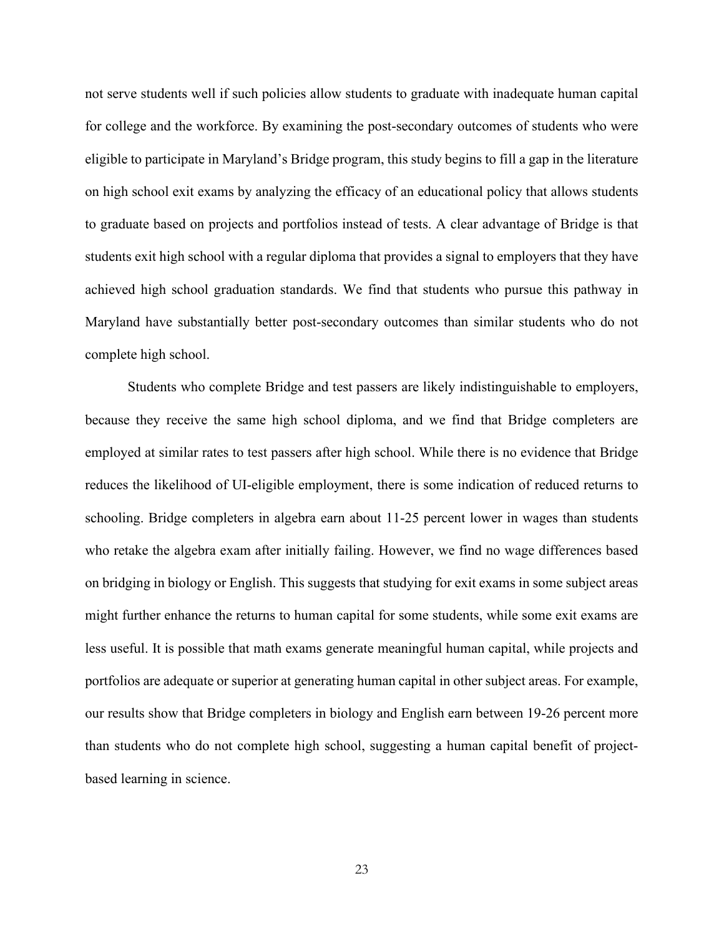not serve students well if such policies allow students to graduate with inadequate human capital for college and the workforce. By examining the post-secondary outcomes of students who were eligible to participate in Maryland's Bridge program, this study begins to fill a gap in the literature on high school exit exams by analyzing the efficacy of an educational policy that allows students to graduate based on projects and portfolios instead of tests. A clear advantage of Bridge is that students exit high school with a regular diploma that provides a signal to employers that they have achieved high school graduation standards. We find that students who pursue this pathway in Maryland have substantially better post-secondary outcomes than similar students who do not complete high school.

Students who complete Bridge and test passers are likely indistinguishable to employers, because they receive the same high school diploma, and we find that Bridge completers are employed at similar rates to test passers after high school. While there is no evidence that Bridge reduces the likelihood of UI-eligible employment, there is some indication of reduced returns to schooling. Bridge completers in algebra earn about 11-25 percent lower in wages than students who retake the algebra exam after initially failing. However, we find no wage differences based on bridging in biology or English. This suggests that studying for exit exams in some subject areas might further enhance the returns to human capital for some students, while some exit exams are less useful. It is possible that math exams generate meaningful human capital, while projects and portfolios are adequate or superior at generating human capital in other subject areas. For example, our results show that Bridge completers in biology and English earn between 19-26 percent more than students who do not complete high school, suggesting a human capital benefit of projectbased learning in science.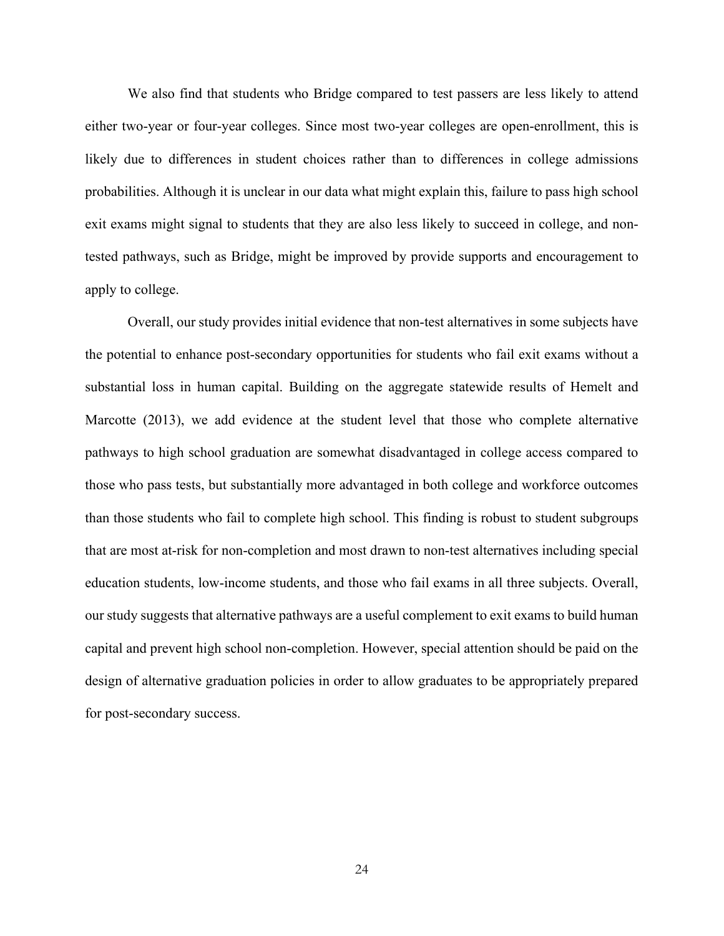We also find that students who Bridge compared to test passers are less likely to attend either two-year or four-year colleges. Since most two-year colleges are open-enrollment, this is likely due to differences in student choices rather than to differences in college admissions probabilities. Although it is unclear in our data what might explain this, failure to pass high school exit exams might signal to students that they are also less likely to succeed in college, and nontested pathways, such as Bridge, might be improved by provide supports and encouragement to apply to college.

Overall, our study provides initial evidence that non-test alternatives in some subjects have the potential to enhance post-secondary opportunities for students who fail exit exams without a substantial loss in human capital. Building on the aggregate statewide results of Hemelt and Marcotte (2013), we add evidence at the student level that those who complete alternative pathways to high school graduation are somewhat disadvantaged in college access compared to those who pass tests, but substantially more advantaged in both college and workforce outcomes than those students who fail to complete high school. This finding is robust to student subgroups that are most at-risk for non-completion and most drawn to non-test alternatives including special education students, low-income students, and those who fail exams in all three subjects. Overall, our study suggests that alternative pathways are a useful complement to exit exams to build human capital and prevent high school non-completion. However, special attention should be paid on the design of alternative graduation policies in order to allow graduates to be appropriately prepared for post-secondary success.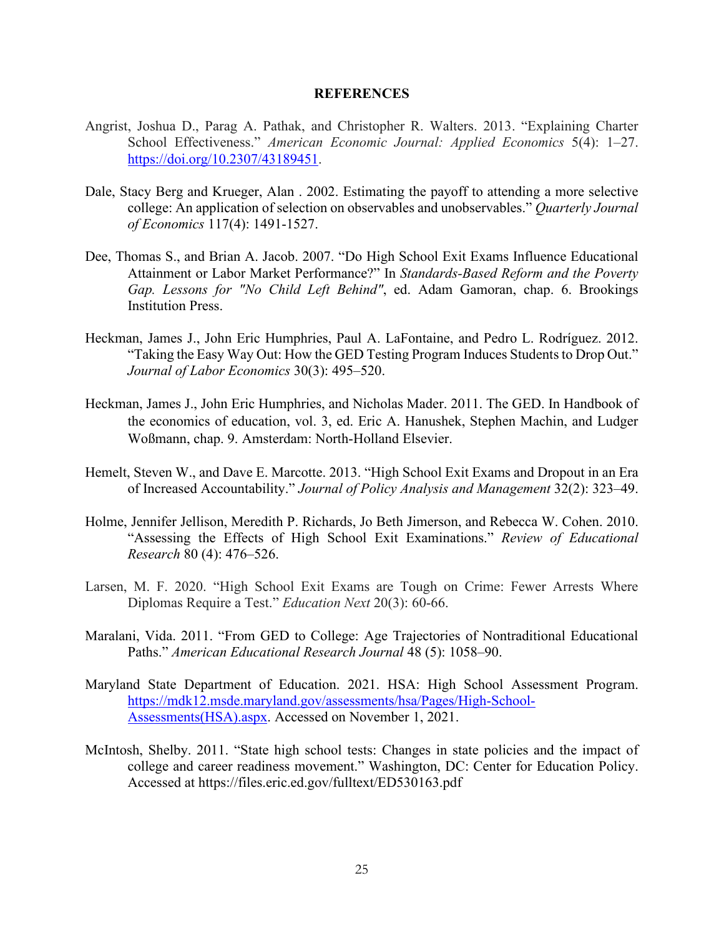#### **REFERENCES**

- Angrist, Joshua D., Parag A. Pathak, and Christopher R. Walters. 2013. "Explaining Charter School Effectiveness." *American Economic Journal: Applied Economics* 5(4): 1–27. [https://doi.org/10.2307/43189451.](about:blank)
- Dale, Stacy Berg and Krueger, Alan . 2002. Estimating the payoff to attending a more selective college: An application of selection on observables and unobservables." *Quarterly Journal of Economics* 117(4): 1491-1527.
- Dee, Thomas S., and Brian A. Jacob. 2007. "Do High School Exit Exams Influence Educational Attainment or Labor Market Performance?" In *Standards-Based Reform and the Poverty Gap. Lessons for "No Child Left Behind"*, ed. Adam Gamoran, chap. 6. Brookings Institution Press.
- Heckman, James J., John Eric Humphries, Paul A. LaFontaine, and Pedro L. Rodríguez. 2012. "Taking the Easy Way Out: How the GED Testing Program Induces Students to Drop Out." *Journal of Labor Economics* 30(3): 495–520.
- Heckman, James J., John Eric Humphries, and Nicholas Mader. 2011. The GED. In Handbook of the economics of education, vol. 3, ed. Eric A. Hanushek, Stephen Machin, and Ludger Woßmann, chap. 9. Amsterdam: North-Holland Elsevier.
- Hemelt, Steven W., and Dave E. Marcotte. 2013. "High School Exit Exams and Dropout in an Era of Increased Accountability." *Journal of Policy Analysis and Management* 32(2): 323–49.
- Holme, Jennifer Jellison, Meredith P. Richards, Jo Beth Jimerson, and Rebecca W. Cohen. 2010. "Assessing the Effects of High School Exit Examinations." *Review of Educational Research* 80 (4): 476–526.
- Larsen, M. F. 2020. "High School Exit Exams are Tough on Crime: Fewer Arrests Where Diplomas Require a Test." *Education Next* 20(3): 60-66.
- Maralani, Vida. 2011. "From GED to College: Age Trajectories of Nontraditional Educational Paths." *American Educational Research Journal* 48 (5): 1058–90.
- Maryland State Department of Education. 2021. HSA: High School Assessment Program. [https://mdk12.msde.maryland.gov/assessments/hsa/Pages/High-School-](https://mdk12.msde.maryland.gov/assessments/hsa/Pages/High-School-Assessments(HSA).aspx)[Assessments\(HSA\).aspx.](https://mdk12.msde.maryland.gov/assessments/hsa/Pages/High-School-Assessments(HSA).aspx) Accessed on November 1, 2021.
- McIntosh, Shelby. 2011. "State high school tests: Changes in state policies and the impact of college and career readiness movement." Washington, DC: Center for Education Policy. Accessed at https://files.eric.ed.gov/fulltext/ED530163.pdf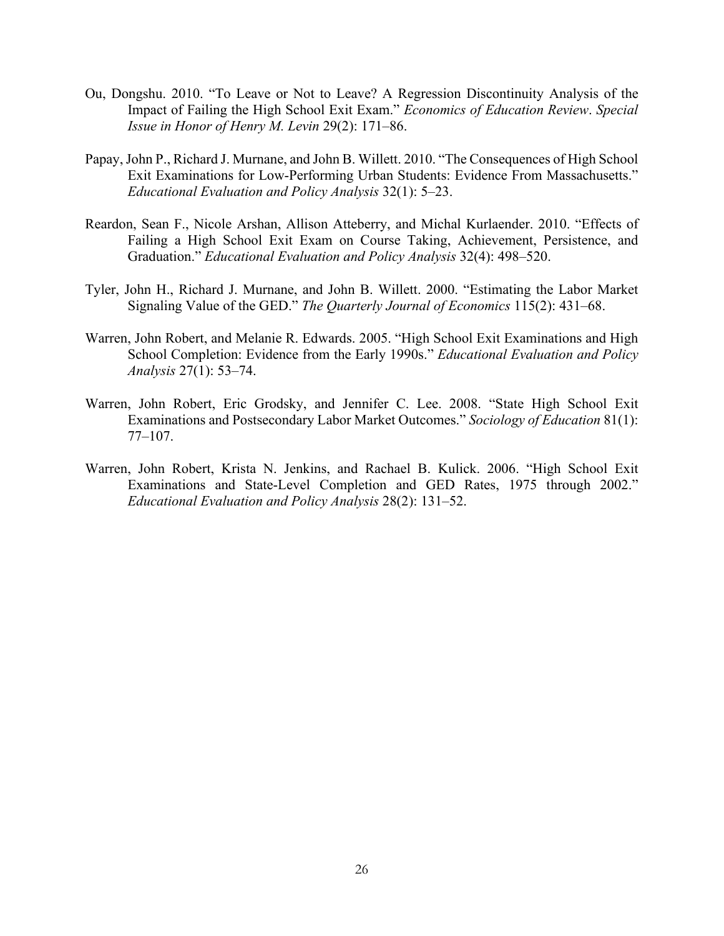- Ou, Dongshu. 2010. "To Leave or Not to Leave? A Regression Discontinuity Analysis of the Impact of Failing the High School Exit Exam." *Economics of Education Review*. *Special Issue in Honor of Henry M. Levin* 29(2): 171–86.
- Papay, John P., Richard J. Murnane, and John B. Willett. 2010. "The Consequences of High School Exit Examinations for Low-Performing Urban Students: Evidence From Massachusetts." *Educational Evaluation and Policy Analysis* 32(1): 5–23.
- Reardon, Sean F., Nicole Arshan, Allison Atteberry, and Michal Kurlaender. 2010. "Effects of Failing a High School Exit Exam on Course Taking, Achievement, Persistence, and Graduation." *Educational Evaluation and Policy Analysis* 32(4): 498–520.
- Tyler, John H., Richard J. Murnane, and John B. Willett. 2000. "Estimating the Labor Market Signaling Value of the GED." *The Quarterly Journal of Economics* 115(2): 431–68.
- Warren, John Robert, and Melanie R. Edwards. 2005. "High School Exit Examinations and High School Completion: Evidence from the Early 1990s." *Educational Evaluation and Policy Analysis* 27(1): 53–74.
- Warren, John Robert, Eric Grodsky, and Jennifer C. Lee. 2008. "State High School Exit Examinations and Postsecondary Labor Market Outcomes." *Sociology of Education* 81(1): 77–107.
- Warren, John Robert, Krista N. Jenkins, and Rachael B. Kulick. 2006. "High School Exit Examinations and State-Level Completion and GED Rates, 1975 through 2002." *Educational Evaluation and Policy Analysis* 28(2): 131–52.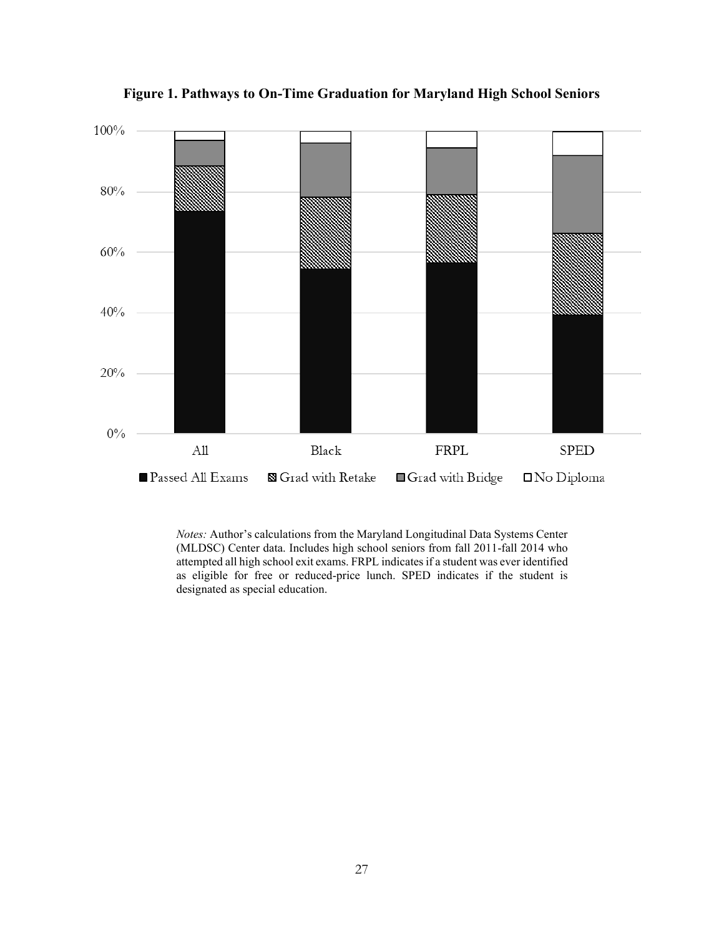

**Figure 1. Pathways to On-Time Graduation for Maryland High School Seniors**

*Notes:* Author's calculations from the Maryland Longitudinal Data Systems Center (MLDSC) Center data. Includes high school seniors from fall 2011-fall 2014 who attempted all high school exit exams. FRPL indicates if a student was ever identified as eligible for free or reduced-price lunch. SPED indicates if the student is designated as special education.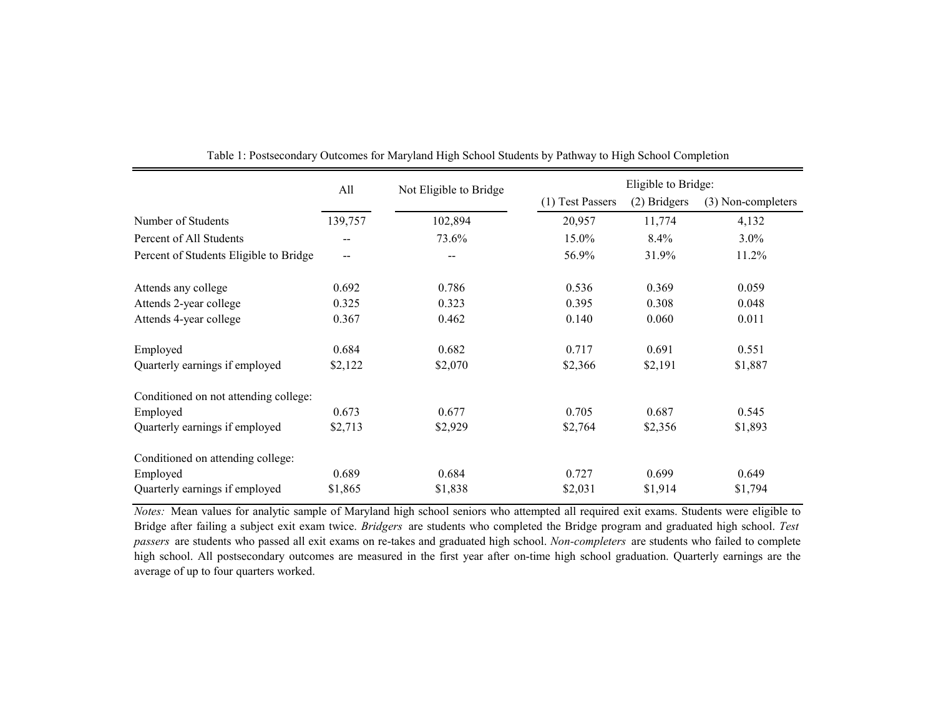|                                        | All     | Not Eligible to Bridge |                  | Eligible to Bridge: |                    |  |  |
|----------------------------------------|---------|------------------------|------------------|---------------------|--------------------|--|--|
|                                        |         |                        | (1) Test Passers | (2) Bridgers        | (3) Non-completers |  |  |
| Number of Students                     | 139,757 | 102,894                | 20,957           | 11,774              | 4,132              |  |  |
| Percent of All Students                |         | 73.6%                  | 15.0%            | 8.4%                | $3.0\%$            |  |  |
| Percent of Students Eligible to Bridge | --      |                        | 56.9%            | 31.9%               | 11.2%              |  |  |
| Attends any college                    | 0.692   | 0.786                  | 0.536            | 0.369               | 0.059              |  |  |
| Attends 2-year college                 | 0.325   | 0.323                  | 0.395            | 0.308               | 0.048              |  |  |
| Attends 4-year college                 | 0.367   | 0.462                  | 0.140            | 0.060               | 0.011              |  |  |
| Employed                               | 0.684   | 0.682                  | 0.717            | 0.691               | 0.551              |  |  |
| Quarterly earnings if employed         | \$2,122 | \$2,070                | \$2,366          | \$2,191             | \$1,887            |  |  |
| Conditioned on not attending college:  |         |                        |                  |                     |                    |  |  |
| Employed                               | 0.673   | 0.677                  | 0.705            | 0.687               | 0.545              |  |  |
| Quarterly earnings if employed         | \$2,713 | \$2,929                | \$2,764          | \$2,356             | \$1,893            |  |  |
| Conditioned on attending college:      |         |                        |                  |                     |                    |  |  |
| Employed                               | 0.689   | 0.684                  | 0.727            | 0.699               | 0.649              |  |  |
| Quarterly earnings if employed         | \$1,865 | \$1,838                | \$2,031          | \$1,914             | \$1,794            |  |  |

Table 1: Postsecondary Outcomes for Maryland High School Students by Pathway to High School Completion

*Notes:* Mean values for analytic sample of Maryland high school seniors who attempted all required exit exams. Students were eligible to Bridge after failing a subject exit exam twice. *Bridgers* are students who completed the Bridge program and graduated high school. *Test passers* are students who passed all exit exams on re-takes and graduated high school. *Non-completers* are students who failed to complete high school. All postsecondary outcomes are measured in the first year after on-time high school graduation. Quarterly earnings are the average of up to four quarters worked.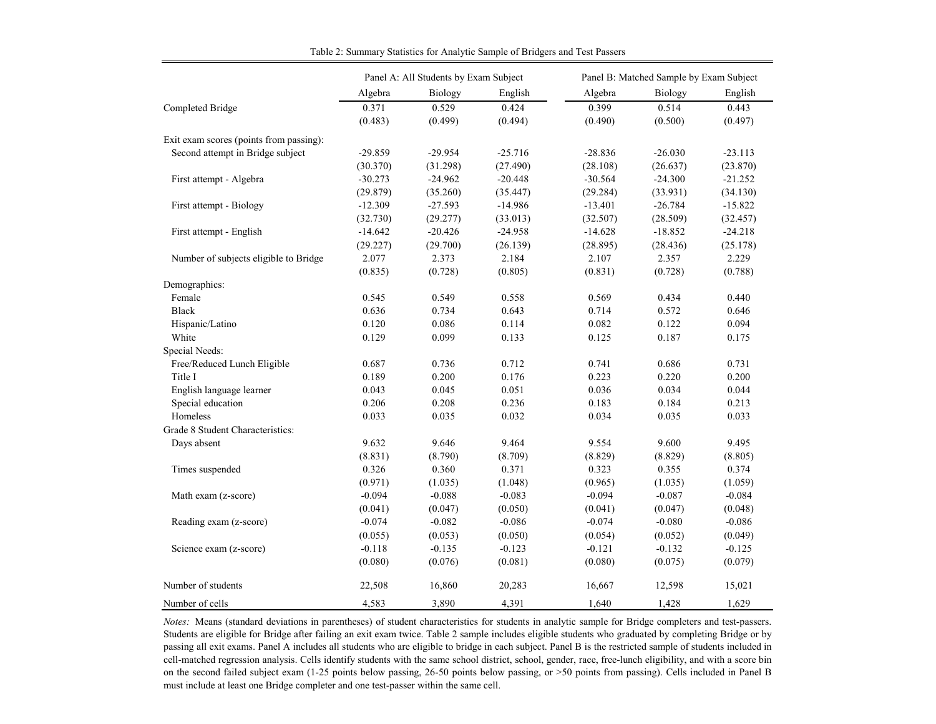|                                         |           | Panel A: All Students by Exam Subject |           |           | Panel B: Matched Sample by Exam Subject |           |
|-----------------------------------------|-----------|---------------------------------------|-----------|-----------|-----------------------------------------|-----------|
|                                         | Algebra   | Biology                               | English   | Algebra   | Biology                                 | English   |
| Completed Bridge                        | 0.371     | 0.529                                 | 0.424     | 0.399     | 0.514                                   | 0.443     |
|                                         | (0.483)   | (0.499)                               | (0.494)   | (0.490)   | (0.500)                                 | (0.497)   |
| Exit exam scores (points from passing): |           |                                       |           |           |                                         |           |
| Second attempt in Bridge subject        | $-29.859$ | $-29.954$                             | $-25.716$ | $-28.836$ | $-26.030$                               | $-23.113$ |
|                                         | (30.370)  | (31.298)                              | (27.490)  | (28.108)  | (26.637)                                | (23.870)  |
| First attempt - Algebra                 | $-30.273$ | $-24.962$                             | $-20.448$ | $-30.564$ | $-24.300$                               | $-21.252$ |
|                                         | (29.879)  | (35.260)                              | (35.447)  | (29.284)  | (33.931)                                | (34.130)  |
| First attempt - Biology                 | $-12.309$ | $-27.593$                             | $-14.986$ | $-13.401$ | $-26.784$                               | $-15.822$ |
|                                         | (32.730)  | (29.277)                              | (33.013)  | (32.507)  | (28.509)                                | (32.457)  |
| First attempt - English                 | $-14.642$ | $-20.426$                             | $-24.958$ | $-14.628$ | $-18.852$                               | $-24.218$ |
|                                         | (29.227)  | (29.700)                              | (26.139)  | (28.895)  | (28.436)                                | (25.178)  |
| Number of subjects eligible to Bridge   | 2.077     | 2.373                                 | 2.184     | 2.107     | 2.357                                   | 2.229     |
|                                         | (0.835)   | (0.728)                               | (0.805)   | (0.831)   | (0.728)                                 | (0.788)   |
| Demographics:                           |           |                                       |           |           |                                         |           |
| Female                                  | 0.545     | 0.549                                 | 0.558     | 0.569     | 0.434                                   | 0.440     |
| <b>Black</b>                            | 0.636     | 0.734                                 | 0.643     | 0.714     | 0.572                                   | 0.646     |
| Hispanic/Latino                         | 0.120     | 0.086                                 | 0.114     | 0.082     | 0.122                                   | 0.094     |
| White                                   | 0.129     | 0.099                                 | 0.133     | 0.125     | 0.187                                   | 0.175     |
| Special Needs:                          |           |                                       |           |           |                                         |           |
| Free/Reduced Lunch Eligible             | 0.687     | 0.736                                 | 0.712     | 0.741     | 0.686                                   | 0.731     |
| Title I                                 | 0.189     | 0.200                                 | 0.176     | 0.223     | 0.220                                   | 0.200     |
| English language learner                | 0.043     | 0.045                                 | 0.051     | 0.036     | 0.034                                   | 0.044     |
| Special education                       | 0.206     | 0.208                                 | 0.236     | 0.183     | 0.184                                   | 0.213     |
| Homeless                                | 0.033     | 0.035                                 | 0.032     | 0.034     | 0.035                                   | 0.033     |
| Grade 8 Student Characteristics:        |           |                                       |           |           |                                         |           |
| Days absent                             | 9.632     | 9.646                                 | 9.464     | 9.554     | 9.600                                   | 9.495     |
|                                         | (8.831)   | (8.790)                               | (8.709)   | (8.829)   | (8.829)                                 | (8.805)   |
| Times suspended                         | 0.326     | 0.360                                 | 0.371     | 0.323     | 0.355                                   | 0.374     |
|                                         | (0.971)   | (1.035)                               | (1.048)   | (0.965)   | (1.035)                                 | (1.059)   |
| Math exam (z-score)                     | $-0.094$  | $-0.088$                              | $-0.083$  | $-0.094$  | $-0.087$                                | $-0.084$  |
|                                         | (0.041)   | (0.047)                               | (0.050)   | (0.041)   | (0.047)                                 | (0.048)   |
| Reading exam (z-score)                  | $-0.074$  | $-0.082$                              | $-0.086$  | $-0.074$  | $-0.080$                                | $-0.086$  |
|                                         | (0.055)   | (0.053)                               | (0.050)   | (0.054)   | (0.052)                                 | (0.049)   |
| Science exam (z-score)                  | $-0.118$  | $-0.135$                              | $-0.123$  | $-0.121$  | $-0.132$                                | $-0.125$  |
|                                         | (0.080)   | (0.076)                               | (0.081)   | (0.080)   | (0.075)                                 | (0.079)   |
| Number of students                      | 22,508    | 16,860                                | 20,283    | 16,667    | 12,598                                  | 15,021    |
| Number of cells                         | 4,583     | 3,890                                 | 4,391     | 1.640     | 1,428                                   | 1,629     |

Table 2: Summary Statistics for Analytic Sample of Bridgers and Test Passers

*Notes:* Means (standard deviations in parentheses) of student characteristics for students in analytic sample for Bridge completers and test-passers. Students are eligible for Bridge after failing an exit exam twice. Table 2 sample includes eligible students who graduated by completing Bridge or by passing all exit exams. Panel A includes all students who are eligible to bridge in each subject. Panel B is the restricted sample of students included in cell-matched regression analysis. Cells identify students with the same school district, school, gender, race, free-lunch eligibility, and with a score bin on the second failed subject exam (1-25 points below passing, 26-50 points below passing, or >50 points from passing). Cells included in Panel B must include at least one Bridge completer and one test-passer within the same cell.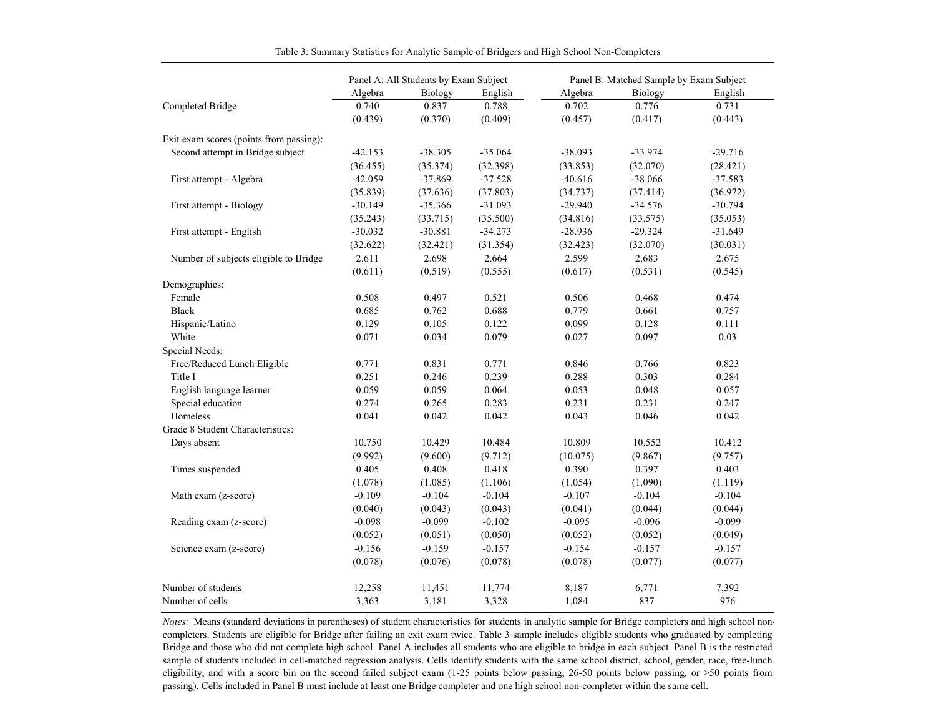|                                         |           | Panel A: All Students by Exam Subject |           |           | Panel B: Matched Sample by Exam Subject |           |
|-----------------------------------------|-----------|---------------------------------------|-----------|-----------|-----------------------------------------|-----------|
|                                         | Algebra   | Biology                               | English   | Algebra   | Biology                                 | English   |
| Completed Bridge                        | 0.740     | 0.837                                 | 0.788     | 0.702     | 0.776                                   | 0.731     |
|                                         | (0.439)   | (0.370)                               | (0.409)   | (0.457)   | (0.417)                                 | (0.443)   |
| Exit exam scores (points from passing): |           |                                       |           |           |                                         |           |
| Second attempt in Bridge subject        | $-42.153$ | $-38.305$                             | $-35.064$ | $-38.093$ | $-33.974$                               | $-29.716$ |
|                                         | (36.455)  | (35.374)                              | (32.398)  | (33.853)  | (32.070)                                | (28.421)  |
| First attempt - Algebra                 | $-42.059$ | $-37.869$                             | $-37.528$ | $-40.616$ | $-38.066$                               | $-37.583$ |
|                                         | (35.839)  | (37.636)                              | (37.803)  | (34.737)  | (37.414)                                | (36.972)  |
| First attempt - Biology                 | $-30.149$ | $-35.366$                             | $-31.093$ | $-29.940$ | $-34.576$                               | $-30.794$ |
|                                         | (35.243)  | (33.715)                              | (35.500)  | (34.816)  | (33.575)                                | (35.053)  |
| First attempt - English                 | $-30.032$ | $-30.881$                             | $-34.273$ | $-28.936$ | $-29.324$                               | $-31.649$ |
|                                         | (32.622)  | (32.421)                              | (31.354)  | (32.423)  | (32.070)                                | (30.031)  |
| Number of subjects eligible to Bridge   | 2.611     | 2.698                                 | 2.664     | 2.599     | 2.683                                   | 2.675     |
|                                         | (0.611)   | (0.519)                               | (0.555)   | (0.617)   | (0.531)                                 | (0.545)   |
| Demographics:                           |           |                                       |           |           |                                         |           |
| Female                                  | 0.508     | 0.497                                 | 0.521     | 0.506     | 0.468                                   | 0.474     |
| <b>Black</b>                            | 0.685     | 0.762                                 | 0.688     | 0.779     | 0.661                                   | 0.757     |
| Hispanic/Latino                         | 0.129     | 0.105                                 | 0.122     | 0.099     | 0.128                                   | 0.111     |
| White                                   | 0.071     | 0.034                                 | 0.079     | 0.027     | 0.097                                   | 0.03      |
| Special Needs:                          |           |                                       |           |           |                                         |           |
| Free/Reduced Lunch Eligible             | 0.771     | 0.831                                 | 0.771     | 0.846     | 0.766                                   | 0.823     |
| Title I                                 | 0.251     | 0.246                                 | 0.239     | 0.288     | 0.303                                   | 0.284     |
| English language learner                | 0.059     | 0.059                                 | 0.064     | 0.053     | 0.048                                   | 0.057     |
| Special education                       | 0.274     | 0.265                                 | 0.283     | 0.231     | 0.231                                   | 0.247     |
| Homeless                                | 0.041     | 0.042                                 | 0.042     | 0.043     | 0.046                                   | 0.042     |
| Grade 8 Student Characteristics:        |           |                                       |           |           |                                         |           |
| Days absent                             | 10.750    | 10.429                                | 10.484    | 10.809    | 10.552                                  | 10.412    |
|                                         | (9.992)   | (9.600)                               | (9.712)   | (10.075)  | (9.867)                                 | (9.757)   |
| Times suspended                         | 0.405     | 0.408                                 | 0.418     | 0.390     | 0.397                                   | 0.403     |
|                                         | (1.078)   | (1.085)                               | (1.106)   | (1.054)   | (1.090)                                 | (1.119)   |
| Math exam (z-score)                     | $-0.109$  | $-0.104$                              | $-0.104$  | $-0.107$  | $-0.104$                                | $-0.104$  |
|                                         | (0.040)   | (0.043)                               | (0.043)   | (0.041)   | (0.044)                                 | (0.044)   |
| Reading exam (z-score)                  | $-0.098$  | $-0.099$                              | $-0.102$  | $-0.095$  | $-0.096$                                | $-0.099$  |
|                                         | (0.052)   | (0.051)                               | (0.050)   | (0.052)   | (0.052)                                 | (0.049)   |
| Science exam (z-score)                  | $-0.156$  | $-0.159$                              | $-0.157$  | $-0.154$  | $-0.157$                                | $-0.157$  |
|                                         | (0.078)   | (0.076)                               | (0.078)   | (0.078)   | (0.077)                                 | (0.077)   |
| Number of students                      | 12,258    | 11,451                                | 11,774    | 8,187     | 6,771                                   | 7,392     |
| Number of cells                         | 3,363     | 3,181                                 | 3,328     | 1,084     | 837                                     | 976       |

Table 3: Summary Statistics for Analytic Sample of Bridgers and High School Non-Completers

*Notes:* Means (standard deviations in parentheses) of student characteristics for students in analytic sample for Bridge completers and high school noncompleters. Students are eligible for Bridge after failing an exit exam twice. Table 3 sample includes eligible students who graduated by completing Bridge and those who did not complete high school. Panel A includes all students who are eligible to bridge in each subject. Panel B is the restricted sample of students included in cell-matched regression analysis. Cells identify students with the same school district, school, gender, race, free-lunch eligibility, and with a score bin on the second failed subject exam (1-25 points below passing, 26-50 points below passing, or >50 points from passing). Cells included in Panel B must include at least one Bridge completer and one high school non-completer within the same cell.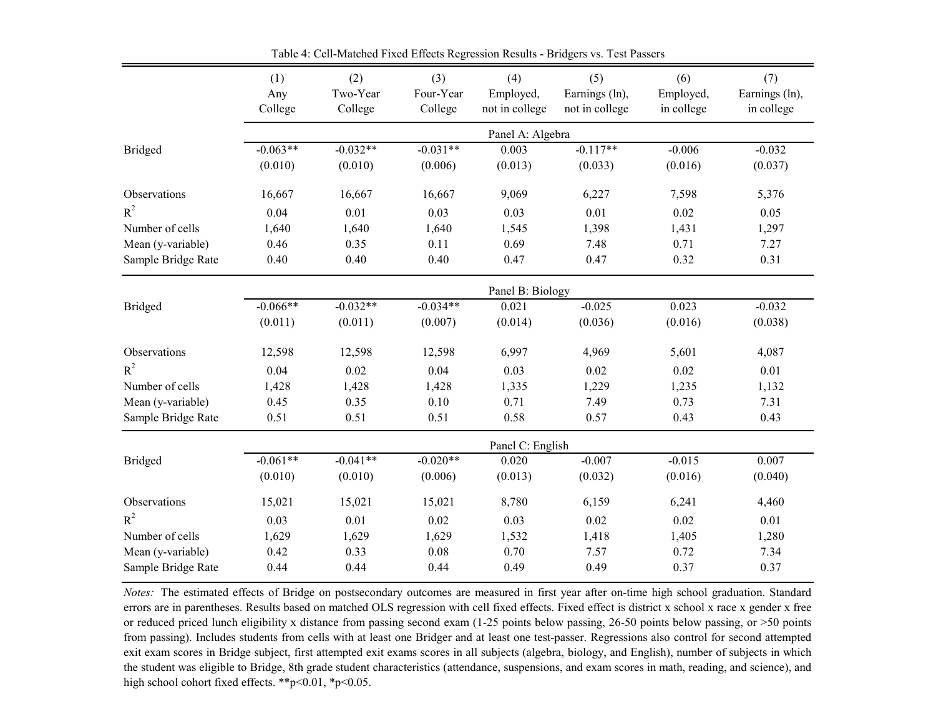|                    | (1)            | (2)<br>Two-Year | (3)<br>Four-Year | (4)                         | (5)                              | (6)                     | (7)                          |
|--------------------|----------------|-----------------|------------------|-----------------------------|----------------------------------|-------------------------|------------------------------|
|                    | Any<br>College | College         | College          | Employed,<br>not in college | Earnings (ln),<br>not in college | Employed,<br>in college | Earnings (ln),<br>in college |
|                    |                |                 |                  | Panel A: Algebra            |                                  |                         |                              |
| Bridged            | $-0.063**$     | $-0.032**$      | $-0.031**$       | 0.003                       | $-0.117**$                       | $-0.006$                | $-0.032$                     |
|                    | (0.010)        | (0.010)         | (0.006)          | (0.013)                     | (0.033)                          | (0.016)                 | (0.037)                      |
| Observations       | 16,667         | 16,667          | 16,667           | 9,069                       | 6,227                            | 7,598                   | 5,376                        |
| $R^2$              | 0.04           | 0.01            | 0.03             | 0.03                        | 0.01                             | 0.02                    | 0.05                         |
| Number of cells    | 1,640          | 1,640           | 1,640            | 1,545                       | 1,398                            | 1,431                   | 1,297                        |
| Mean (y-variable)  | 0.46           | 0.35            | 0.11             | 0.69                        | 7.48                             | 0.71                    | 7.27                         |
| Sample Bridge Rate | 0.40           | 0.40            | 0.40             | 0.47                        | 0.47                             | 0.32                    | 0.31                         |
|                    |                |                 |                  | Panel B: Biology            |                                  |                         |                              |
| <b>Bridged</b>     | $-0.066**$     | $-0.032**$      | $-0.034**$       | 0.021                       | $-0.025$                         | 0.023                   | $-0.032$                     |
|                    | (0.011)        | (0.011)         | (0.007)          | (0.014)                     | (0.036)                          | (0.016)                 | (0.038)                      |
| Observations       | 12,598         | 12,598          | 12,598           | 6,997                       | 4,969                            | 5,601                   | 4,087                        |
| $R^2$              | 0.04           | 0.02            | 0.04             | 0.03                        | 0.02                             | 0.02                    | 0.01                         |
| Number of cells    | 1,428          | 1,428           | 1,428            | 1,335                       | 1,229                            | 1,235                   | 1,132                        |
| Mean (y-variable)  | 0.45           | 0.35            | 0.10             | 0.71                        | 7.49                             | 0.73                    | 7.31                         |
| Sample Bridge Rate | 0.51           | 0.51            | 0.51             | 0.58                        | 0.57                             | 0.43                    | 0.43                         |
|                    |                |                 |                  | Panel C: English            |                                  |                         |                              |
| <b>Bridged</b>     | $-0.061**$     | $-0.041**$      | $-0.020**$       | 0.020                       | $-0.007$                         | $-0.015$                | 0.007                        |
|                    | (0.010)        | (0.010)         | (0.006)          | (0.013)                     | (0.032)                          | (0.016)                 | (0.040)                      |
| Observations       | 15,021         | 15,021          | 15,021           | 8,780                       | 6,159                            | 6,241                   | 4,460                        |
| $R^2$              | 0.03           | 0.01            | 0.02             | 0.03                        | 0.02                             | 0.02                    | 0.01                         |
| Number of cells    | 1,629          | 1,629           | 1,629            | 1,532                       | 1,418                            | 1,405                   | 1,280                        |
| Mean (y-variable)  | 0.42           | 0.33            | $0.08\,$         | 0.70                        | 7.57                             | 0.72                    | 7.34                         |
| Sample Bridge Rate | 0.44           | 0.44            | 0.44             | 0.49                        | 0.49                             | 0.37                    | 0.37                         |

Table 4: Cell-Matched Fixed Effects Regression Results - Bridgers vs. Test Passers

*Notes:* The estimated effects of Bridge on postsecondary outcomes are measured in first year after on-time high school graduation. Standard errors are in parentheses. Results based on matched OLS regression with cell fixed effects. Fixed effect is district x school x race x gender x free or reduced priced lunch eligibility x distance from passing second exam (1-25 points below passing, 26-50 points below passing, or >50 points from passing). Includes students from cells with at least one Bridger and at least one test-passer. Regressions also control for second attempted exit exam scores in Bridge subject, first attempted exit exams scores in all subjects (algebra, biology, and English), number of subjects in which the student was eligible to Bridge, 8th grade student characteristics (attendance, suspensions, and exam scores in math, reading, and science), and high school cohort fixed effects. \*\*p<0.01, \*p<0.05.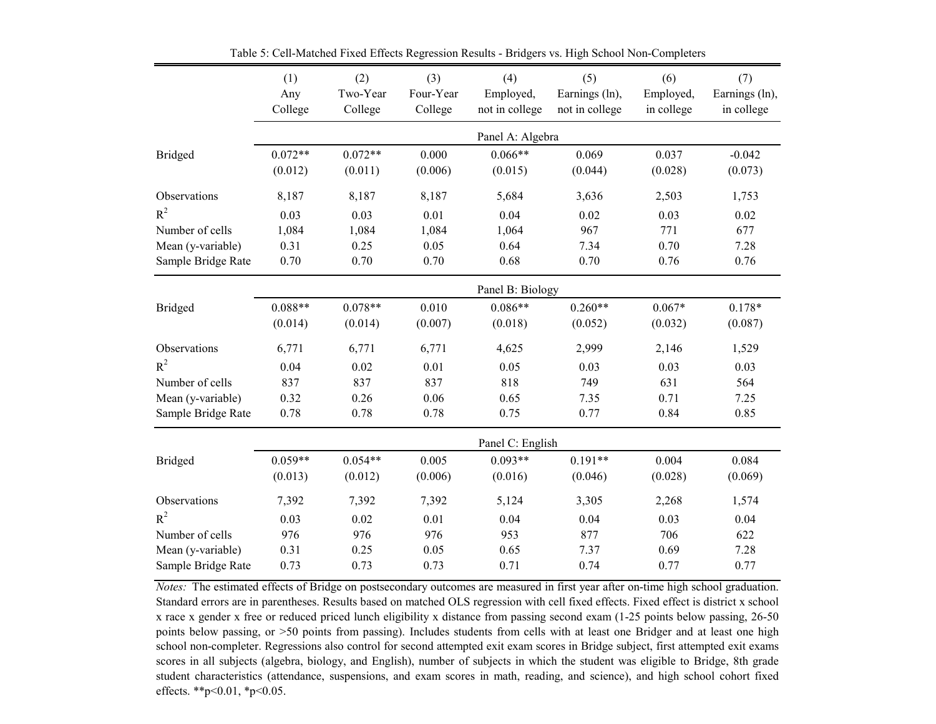|                    | (1)<br>Any<br>College | (2)<br>Two-Year<br>College | (3)<br>Four-Year<br>College | (4)<br>Employed,<br>not in college | (5)<br>Earnings (ln),<br>not in college | (6)<br>Employed,<br>in college | (7)<br>Earnings (ln),<br>in college |
|--------------------|-----------------------|----------------------------|-----------------------------|------------------------------------|-----------------------------------------|--------------------------------|-------------------------------------|
|                    |                       |                            |                             | Panel A: Algebra                   |                                         |                                |                                     |
| <b>Bridged</b>     | $0.072**$<br>(0.012)  | $0.072**$<br>(0.011)       | 0.000<br>(0.006)            | $0.066**$<br>(0.015)               | 0.069<br>(0.044)                        | 0.037<br>(0.028)               | $-0.042$<br>(0.073)                 |
| Observations       | 8,187                 | 8,187                      | 8,187                       | 5,684                              | 3,636                                   | 2,503                          | 1,753                               |
| $R^2$              | 0.03                  | 0.03                       | 0.01                        | 0.04                               | 0.02                                    | 0.03                           | 0.02                                |
| Number of cells    | 1,084                 | 1,084                      | 1,084                       | 1,064                              | 967                                     | 771                            | 677                                 |
| Mean (y-variable)  | 0.31                  | 0.25                       | 0.05                        | 0.64                               | 7.34                                    | 0.70                           | 7.28                                |
| Sample Bridge Rate | 0.70                  | 0.70                       | 0.70                        | 0.68                               | 0.70                                    | 0.76                           | 0.76                                |
|                    |                       |                            |                             | Panel B: Biology                   |                                         |                                |                                     |
| <b>Bridged</b>     | $0.088**$<br>(0.014)  | $0.078**$<br>(0.014)       | 0.010<br>(0.007)            | $0.086**$<br>(0.018)               | $0.260**$<br>(0.052)                    | $0.067*$<br>(0.032)            | $0.178*$<br>(0.087)                 |
| Observations       | 6,771                 | 6,771                      | 6,771                       | 4,625                              | 2,999                                   | 2,146                          | 1,529                               |
| $R^2$              | 0.04                  | 0.02                       | 0.01                        | 0.05                               | 0.03                                    | 0.03                           | 0.03                                |
| Number of cells    | 837                   | 837                        | 837                         | 818                                | 749                                     | 631                            | 564                                 |
| Mean (y-variable)  | 0.32                  | 0.26                       | 0.06                        | 0.65                               | 7.35                                    | 0.71                           | 7.25                                |
| Sample Bridge Rate | 0.78                  | 0.78                       | 0.78                        | 0.75                               | 0.77                                    | 0.84                           | 0.85                                |
|                    |                       |                            |                             | Panel C: English                   |                                         |                                |                                     |
| <b>Bridged</b>     | $0.059**$<br>(0.013)  | $0.054**$<br>(0.012)       | 0.005<br>(0.006)            | $0.093**$<br>(0.016)               | $0.191**$<br>(0.046)                    | 0.004<br>(0.028)               | 0.084<br>(0.069)                    |
| Observations       | 7,392                 | 7,392                      | 7,392                       | 5,124                              | 3,305                                   | 2,268                          | 1,574                               |
| $R^2$              | 0.03                  | 0.02                       | 0.01                        | 0.04                               | 0.04                                    | 0.03                           | 0.04                                |
| Number of cells    | 976                   | 976                        | 976                         | 953                                | 877                                     | 706                            | 622                                 |
| Mean (y-variable)  | 0.31                  | 0.25                       | 0.05                        | 0.65                               | 7.37                                    | 0.69                           | 7.28                                |
| Sample Bridge Rate | 0.73                  | 0.73                       | 0.73                        | 0.71                               | 0.74                                    | 0.77                           | 0.77                                |

Table 5: Cell-Matched Fixed Effects Regression Results - Bridgers vs. High School Non-Completers

*Notes:* The estimated effects of Bridge on postsecondary outcomes are measured in first year after on-time high school graduation. Standard errors are in parentheses. Results based on matched OLS regression with cell fixed effects. Fixed effect is district x school x race x gender x free or reduced priced lunch eligibility x distance from passing second exam (1-25 points below passing, 26-50 points below passing, or >50 points from passing). Includes students from cells with at least one Bridger and at least one high school non-completer. Regressions also control for second attempted exit exam scores in Bridge subject, first attempted exit exams scores in all subjects (algebra, biology, and English), number of subjects in which the student was eligible to Bridge, 8th grade student characteristics (attendance, suspensions, and exam scores in math, reading, and science), and high school cohort fixed effects. \*\*p<0.01, \*p<0.05.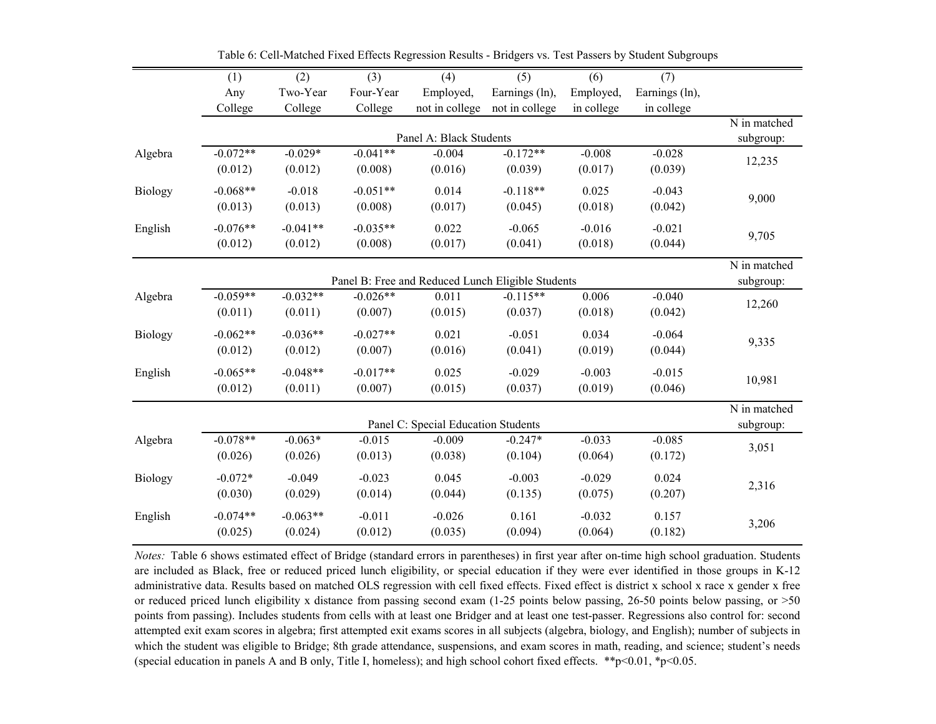|         | (1)                   | (2)                   | (3)                   | (4)                                               | (5)                   | (6)                 | (7)                 |                           |
|---------|-----------------------|-----------------------|-----------------------|---------------------------------------------------|-----------------------|---------------------|---------------------|---------------------------|
|         | Any                   | Two-Year              | Four-Year             | Employed,                                         | Earnings (ln),        | Employed,           | Earnings (ln),      |                           |
|         | College               | College               | College               | not in college                                    | not in college        | in college          | in college          |                           |
|         |                       |                       |                       | Panel A: Black Students                           |                       |                     |                     | N in matched<br>subgroup: |
| Algebra | $-0.072**$<br>(0.012) | $-0.029*$<br>(0.012)  | $-0.041**$<br>(0.008) | $-0.004$<br>(0.016)                               | $-0.172**$<br>(0.039) | $-0.008$<br>(0.017) | $-0.028$<br>(0.039) | 12,235                    |
| Biology | $-0.068**$<br>(0.013) | $-0.018$<br>(0.013)   | $-0.051**$<br>(0.008) | 0.014<br>(0.017)                                  | $-0.118**$<br>(0.045) | 0.025<br>(0.018)    | $-0.043$<br>(0.042) | 9,000                     |
| English | $-0.076**$<br>(0.012) | $-0.041**$<br>(0.012) | $-0.035**$<br>(0.008) | 0.022<br>(0.017)                                  | $-0.065$<br>(0.041)   | $-0.016$<br>(0.018) | $-0.021$<br>(0.044) | 9,705                     |
|         |                       |                       |                       | Panel B: Free and Reduced Lunch Eligible Students |                       |                     |                     | N in matched<br>subgroup: |
| Algebra | $-0.059**$<br>(0.011) | $-0.032**$<br>(0.011) | $-0.026**$<br>(0.007) | 0.011<br>(0.015)                                  | $-0.115**$<br>(0.037) | 0.006<br>(0.018)    | $-0.040$<br>(0.042) | 12,260                    |
| Biology | $-0.062**$<br>(0.012) | $-0.036**$<br>(0.012) | $-0.027**$<br>(0.007) | 0.021<br>(0.016)                                  | $-0.051$<br>(0.041)   | 0.034<br>(0.019)    | $-0.064$<br>(0.044) | 9,335                     |
| English | $-0.065**$<br>(0.012) | $-0.048**$<br>(0.011) | $-0.017**$<br>(0.007) | 0.025<br>(0.015)                                  | $-0.029$<br>(0.037)   | $-0.003$<br>(0.019) | $-0.015$<br>(0.046) | 10,981                    |
|         |                       |                       |                       | Panel C: Special Education Students               |                       |                     |                     | N in matched<br>subgroup: |
| Algebra | $-0.078**$<br>(0.026) | $-0.063*$<br>(0.026)  | $-0.015$<br>(0.013)   | $-0.009$<br>(0.038)                               | $-0.247*$<br>(0.104)  | $-0.033$<br>(0.064) | $-0.085$<br>(0.172) | 3,051                     |
| Biology | $-0.072*$<br>(0.030)  | $-0.049$<br>(0.029)   | $-0.023$<br>(0.014)   | 0.045<br>(0.044)                                  | $-0.003$<br>(0.135)   | $-0.029$<br>(0.075) | 0.024<br>(0.207)    | 2,316                     |
| English | $-0.074**$<br>(0.025) | $-0.063**$<br>(0.024) | $-0.011$<br>(0.012)   | $-0.026$<br>(0.035)                               | 0.161<br>(0.094)      | $-0.032$<br>(0.064) | 0.157<br>(0.182)    | 3,206                     |

Table 6: Cell-Matched Fixed Effects Regression Results - Bridgers vs. Test Passers by Student Subgroups

*Notes:* Table 6 shows estimated effect of Bridge (standard errors in parentheses) in first year after on-time high school graduation. Students are included as Black, free or reduced priced lunch eligibility, or special education if they were ever identified in those groups in K-12 administrative data. Results based on matched OLS regression with cell fixed effects. Fixed effect is district x school x race x gender x free or reduced priced lunch eligibility x distance from passing second exam (1-25 points below passing, 26-50 points below passing, or >50 points from passing). Includes students from cells with at least one Bridger and at least one test-passer. Regressions also control for: second attempted exit exam scores in algebra; first attempted exit exams scores in all subjects (algebra, biology, and English); number of subjects in which the student was eligible to Bridge; 8th grade attendance, suspensions, and exam scores in math, reading, and science; student's needs (special education in panels A and B only, Title I, homeless); and high school cohort fixed effects. \*\*p<0.01, \*p<0.05.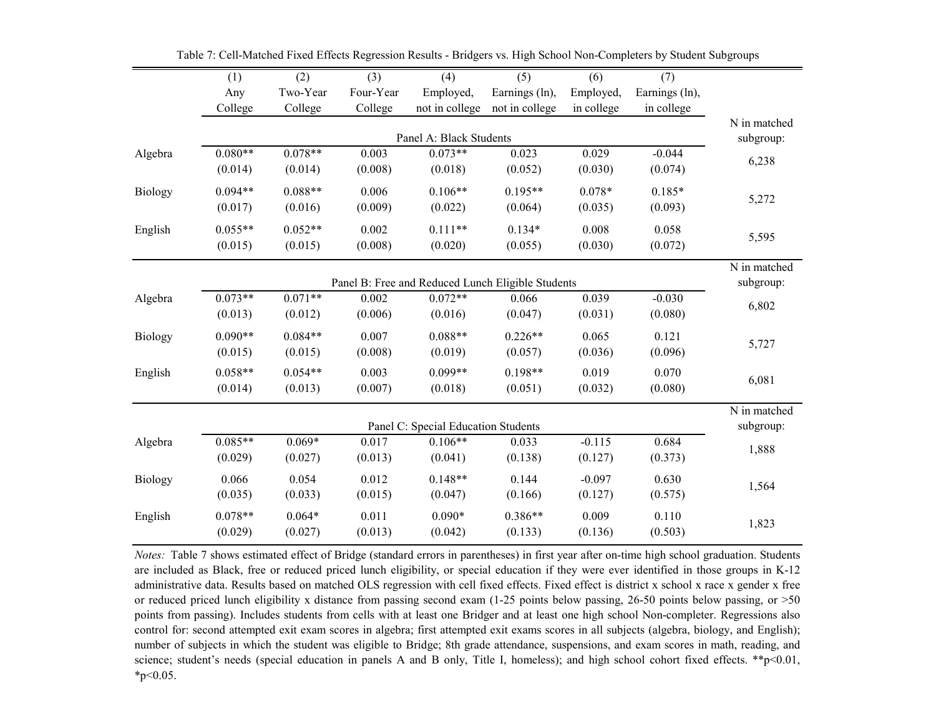|                | (1)       | $\overline{(2)}$ | $\overline{(3)}$ | $\overline{(4)}$                                  | $\overline{(5)}$ | (6)        | $\overline{(7)}$ |                           |
|----------------|-----------|------------------|------------------|---------------------------------------------------|------------------|------------|------------------|---------------------------|
|                | Any       | Two-Year         | Four-Year        | Employed,                                         | Earnings (ln),   | Employed,  | Earnings (ln),   |                           |
|                | College   | College          | College          | not in college                                    | not in college   | in college | in college       |                           |
|                |           |                  |                  | Panel A: Black Students                           |                  |            |                  | N in matched<br>subgroup: |
| Algebra        | $0.080**$ | $0.078**$        | 0.003            | $0.073**$                                         | 0.023            | 0.029      | $-0.044$         |                           |
|                | (0.014)   | (0.014)          | (0.008)          | (0.018)                                           | (0.052)          | (0.030)    | (0.074)          | 6,238                     |
| Biology        | $0.094**$ | $0.088**$        | 0.006            | $0.106**$                                         | $0.195**$        | $0.078*$   | $0.185*$         | 5,272                     |
|                | (0.017)   | (0.016)          | (0.009)          | (0.022)                                           | (0.064)          | (0.035)    | (0.093)          |                           |
| English        | $0.055**$ | $0.052**$        | 0.002            | $0.111**$                                         | $0.134*$         | 0.008      | 0.058            | 5,595                     |
|                | (0.015)   | (0.015)          | (0.008)          | (0.020)                                           | (0.055)          | (0.030)    | (0.072)          |                           |
|                |           |                  |                  | Panel B: Free and Reduced Lunch Eligible Students |                  |            |                  | N in matched<br>subgroup: |
| Algebra        | $0.073**$ | $0.071**$        | 0.002            | $0.072**$                                         | 0.066            | 0.039      | $-0.030$         | 6,802                     |
|                | (0.013)   | (0.012)          | (0.006)          | (0.016)                                           | (0.047)          | (0.031)    | (0.080)          |                           |
| <b>Biology</b> | $0.090**$ | $0.084**$        | 0.007            | $0.088**$                                         | $0.226**$        | 0.065      | 0.121            | 5,727                     |
|                | (0.015)   | (0.015)          | (0.008)          | (0.019)                                           | (0.057)          | (0.036)    | (0.096)          |                           |
| English        | $0.058**$ | $0.054**$        | 0.003            | $0.099**$                                         | $0.198**$        | 0.019      | 0.070            |                           |
|                | (0.014)   | (0.013)          | (0.007)          | (0.018)                                           | (0.051)          | (0.032)    | (0.080)          | 6,081                     |
|                |           |                  |                  | Panel C: Special Education Students               |                  |            |                  | N in matched<br>subgroup: |
| Algebra        | $0.085**$ | $0.069*$         | 0.017            | $0.106**$                                         | 0.033            | $-0.115$   | 0.684            | 1,888                     |
|                | (0.029)   | (0.027)          | (0.013)          | (0.041)                                           | (0.138)          | (0.127)    | (0.373)          |                           |
| Biology        | 0.066     | 0.054            | 0.012            | $0.148**$                                         | 0.144            | $-0.097$   | 0.630            | 1,564                     |
|                | (0.035)   | (0.033)          | (0.015)          | (0.047)                                           | (0.166)          | (0.127)    | (0.575)          |                           |
| English        | $0.078**$ | $0.064*$         | 0.011            | $0.090*$                                          | $0.386**$        | 0.009      | 0.110            | 1,823                     |
|                | (0.029)   | (0.027)          | (0.013)          | (0.042)                                           | (0.133)          | (0.136)    | (0.503)          |                           |

Table 7: Cell-Matched Fixed Effects Regression Results - Bridgers vs. High School Non-Completers by Student Subgroups

*Notes:* Table 7 shows estimated effect of Bridge (standard errors in parentheses) in first year after on-time high school graduation. Students are included as Black, free or reduced priced lunch eligibility, or special education if they were ever identified in those groups in K-12 administrative data. Results based on matched OLS regression with cell fixed effects. Fixed effect is district x school x race x gender x free or reduced priced lunch eligibility x distance from passing second exam (1-25 points below passing, 26-50 points below passing, or >50 points from passing). Includes students from cells with at least one Bridger and at least one high school Non-completer. Regressions also control for: second attempted exit exam scores in algebra; first attempted exit exams scores in all subjects (algebra, biology, and English); number of subjects in which the student was eligible to Bridge; 8th grade attendance, suspensions, and exam scores in math, reading, and science; student's needs (special education in panels A and B only, Title I, homeless); and high school cohort fixed effects. \*\*p<0.01,  $*_{p<0.05}$ .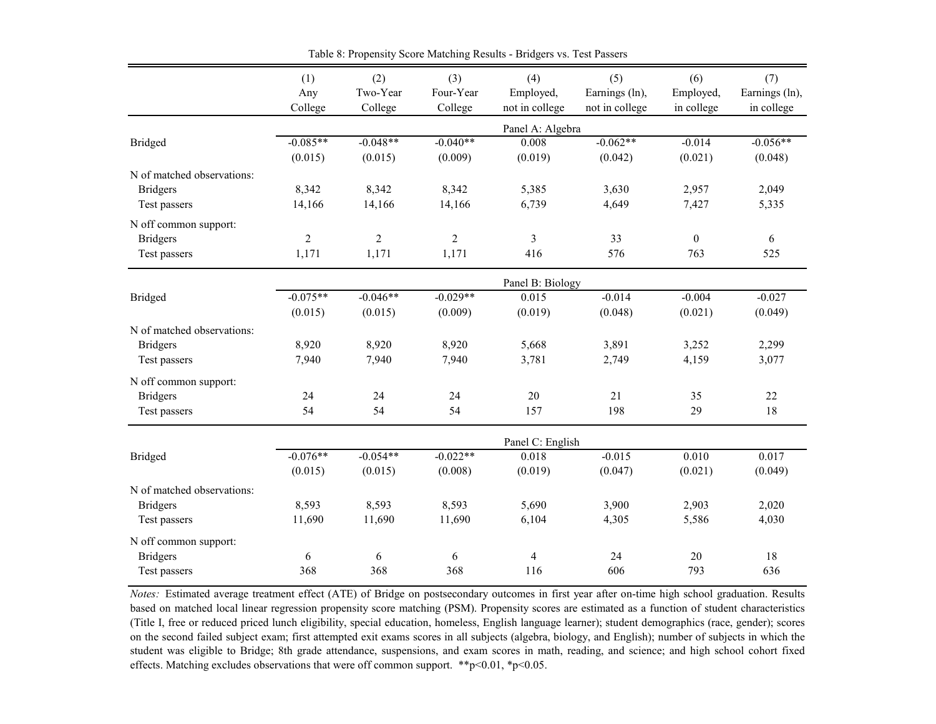|                            | (1)            | (2)        | (3)            | (4)              | (5)            | (6)        | (7)            |
|----------------------------|----------------|------------|----------------|------------------|----------------|------------|----------------|
|                            | Any            | Two-Year   | Four-Year      | Employed,        | Earnings (ln), | Employed,  | Earnings (ln), |
|                            | College        | College    | College        | not in college   | not in college | in college | in college     |
|                            |                |            |                | Panel A: Algebra |                |            |                |
| Bridged                    | $-0.085**$     | $-0.048**$ | $-0.040**$     | 0.008            | $-0.062**$     | $-0.014$   | $-0.056**$     |
|                            | (0.015)        | (0.015)    | (0.009)        | (0.019)          | (0.042)        | (0.021)    | (0.048)        |
| N of matched observations: |                |            |                |                  |                |            |                |
| <b>Bridgers</b>            | 8,342          | 8,342      | 8,342          | 5,385            | 3,630          | 2,957      | 2,049          |
| Test passers               | 14,166         | 14,166     | 14,166         | 6,739            | 4,649          | 7,427      | 5,335          |
| N off common support:      |                |            |                |                  |                |            |                |
| <b>Bridgers</b>            | $\overline{2}$ | 2          | $\overline{2}$ | 3                | 33             | $\Omega$   | 6              |
| Test passers               | 1,171          | 1,171      | 1,171          | 416              | 576            | 763        | 525            |
|                            |                |            |                | Panel B: Biology |                |            |                |
| Bridged                    | $-0.075**$     | $-0.046**$ | $-0.029**$     | 0.015            | $-0.014$       | $-0.004$   | $-0.027$       |
|                            | (0.015)        | (0.015)    | (0.009)        | (0.019)          | (0.048)        | (0.021)    | (0.049)        |
| N of matched observations: |                |            |                |                  |                |            |                |
| <b>Bridgers</b>            | 8,920          | 8,920      | 8,920          | 5,668            | 3,891          | 3,252      | 2,299          |
| Test passers               | 7,940          | 7,940      | 7,940          | 3,781            | 2,749          | 4,159      | 3,077          |
| N off common support:      |                |            |                |                  |                |            |                |
| <b>Bridgers</b>            | 24             | 24         | 24             | 20               | 21             | 35         | 22             |
| Test passers               | 54             | 54         | 54             | 157              | 198            | 29         | 18             |
|                            |                |            |                | Panel C: English |                |            |                |
| <b>Bridged</b>             | $-0.076**$     | $-0.054**$ | $-0.022**$     | 0.018            | $-0.015$       | 0.010      | 0.017          |
|                            | (0.015)        | (0.015)    | (0.008)        | (0.019)          | (0.047)        | (0.021)    | (0.049)        |
| N of matched observations: |                |            |                |                  |                |            |                |
| <b>Bridgers</b>            | 8,593          | 8,593      | 8,593          | 5,690            | 3,900          | 2,903      | 2,020          |
| Test passers               | 11,690         | 11,690     | 11,690         | 6,104            | 4,305          | 5,586      | 4,030          |
| N off common support:      |                |            |                |                  |                |            |                |
| <b>Bridgers</b>            | 6              | 6          | 6              | 4                | 24             | 20         | 18             |
| Test passers               | 368            | 368        | 368            | 116              | 606            | 793        | 636            |

Table 8: Propensity Score Matching Results - Bridgers vs. Test Passers

*Notes:* Estimated average treatment effect (ATE) of Bridge on postsecondary outcomes in first year after on-time high school graduation. Results based on matched local linear regression propensity score matching (PSM). Propensity scores are estimated as a function of student characteristics (Title I, free or reduced priced lunch eligibility, special education, homeless, English language learner); student demographics (race, gender); scores on the second failed subject exam; first attempted exit exams scores in all subjects (algebra, biology, and English); number of subjects in which the student was eligible to Bridge; 8th grade attendance, suspensions, and exam scores in math, reading, and science; and high school cohort fixed effects. Matching excludes observations that were off common support. \*\*p<0.01, \*p<0.05.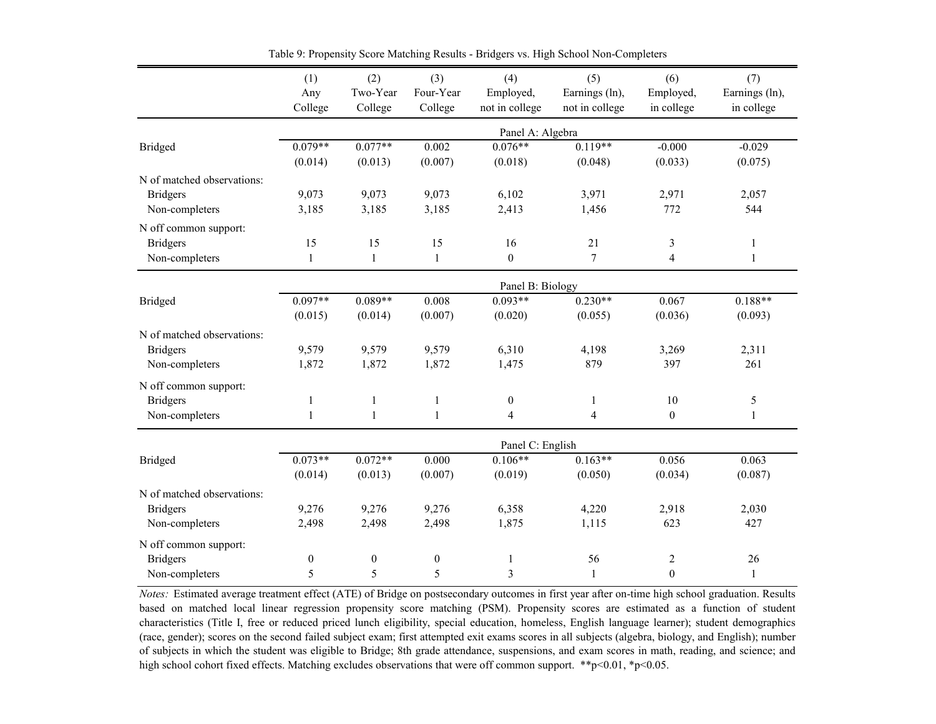|                            | (1)              | (2)              | (3)              | (4)                     | (5)              | (6)              | (7)            |
|----------------------------|------------------|------------------|------------------|-------------------------|------------------|------------------|----------------|
|                            | Any              | Two-Year         | Four-Year        | Employed,               | Earnings (ln),   | Employed,        | Earnings (ln), |
|                            | College          | College          | College          | not in college          | not in college   | in college       | in college     |
|                            |                  |                  |                  | Panel A: Algebra        |                  |                  |                |
| <b>Bridged</b>             | $0.079**$        | $0.077**$        | 0.002            | $0.076**$               | $0.119**$        | $-0.000$         | $-0.029$       |
|                            | (0.014)          | (0.013)          | (0.007)          | (0.018)                 | (0.048)          | (0.033)          | (0.075)        |
| N of matched observations: |                  |                  |                  |                         |                  |                  |                |
| <b>Bridgers</b>            | 9,073            | 9,073            | 9,073            | 6,102                   | 3,971            | 2,971            | 2,057          |
| Non-completers             | 3,185            | 3,185            | 3,185            | 2,413                   | 1,456            | 772              | 544            |
| N off common support:      |                  |                  |                  |                         |                  |                  |                |
| <b>Bridgers</b>            | 15               | 15               | 15               | 16                      | 21               | $\mathfrak{Z}$   | $\mathbf{1}$   |
| Non-completers             | $\mathbf{1}$     | $\mathbf{1}$     | $\mathbf{1}$     | $\boldsymbol{0}$        | $\boldsymbol{7}$ | $\overline{4}$   | $\mathbf{1}$   |
|                            |                  |                  |                  | Panel B: Biology        |                  |                  |                |
| <b>Bridged</b>             | $0.097**$        | $0.089**$        | 0.008            | $0.093**$               | $0.230**$        | 0.067            | $0.188**$      |
|                            | (0.015)          | (0.014)          | (0.007)          | (0.020)                 | (0.055)          | (0.036)          | (0.093)        |
| N of matched observations: |                  |                  |                  |                         |                  |                  |                |
| <b>Bridgers</b>            | 9,579            | 9,579            | 9,579            | 6,310                   | 4,198            | 3,269            | 2,311          |
| Non-completers             | 1,872            | 1,872            | 1,872            | 1,475                   | 879              | 397              | 261            |
| N off common support:      |                  |                  |                  |                         |                  |                  |                |
| <b>Bridgers</b>            | $\mathbf{1}$     | $\mathbf{1}$     | $\mathbf{1}$     | $\boldsymbol{0}$        | $\mathbf{1}$     | 10               | $\sqrt{5}$     |
| Non-completers             | $\mathbf{1}$     | $\mathbf{1}$     | $\mathbf{1}$     | $\overline{4}$          | $\overline{4}$   | $\overline{0}$   | $\mathbf{1}$   |
|                            |                  |                  |                  | Panel C: English        |                  |                  |                |
| <b>Bridged</b>             | $0.073**$        | $0.072**$        | 0.000            | $0.106**$               | $0.163**$        | 0.056            | 0.063          |
|                            | (0.014)          | (0.013)          | (0.007)          | (0.019)                 | (0.050)          | (0.034)          | (0.087)        |
| N of matched observations: |                  |                  |                  |                         |                  |                  |                |
| <b>Bridgers</b>            | 9,276            | 9,276            | 9,276            | 6,358                   | 4,220            | 2,918            | 2,030          |
| Non-completers             | 2,498            | 2,498            | 2,498            | 1,875                   | 1,115            | 623              | 427            |
| N off common support:      |                  |                  |                  |                         |                  |                  |                |
| <b>Bridgers</b>            | $\boldsymbol{0}$ | $\boldsymbol{0}$ | $\boldsymbol{0}$ | $\mathbf{1}$            | 56               | $\overline{c}$   | 26             |
| Non-completers             | 5                | 5                | 5                | $\overline{\mathbf{3}}$ | $\mathbf{1}$     | $\boldsymbol{0}$ | $\mathbf{1}$   |

Table 9: Propensity Score Matching Results - Bridgers vs. High School Non-Completers

*Notes:* Estimated average treatment effect (ATE) of Bridge on postsecondary outcomes in first year after on-time high school graduation. Results based on matched local linear regression propensity score matching (PSM). Propensity scores are estimated as a function of student characteristics (Title I, free or reduced priced lunch eligibility, special education, homeless, English language learner); student demographics (race, gender); scores on the second failed subject exam; first attempted exit exams scores in all subjects (algebra, biology, and English); number of subjects in which the student was eligible to Bridge; 8th grade attendance, suspensions, and exam scores in math, reading, and science; and high school cohort fixed effects. Matching excludes observations that were off common support. \*\*p<0.01, \*p<0.05.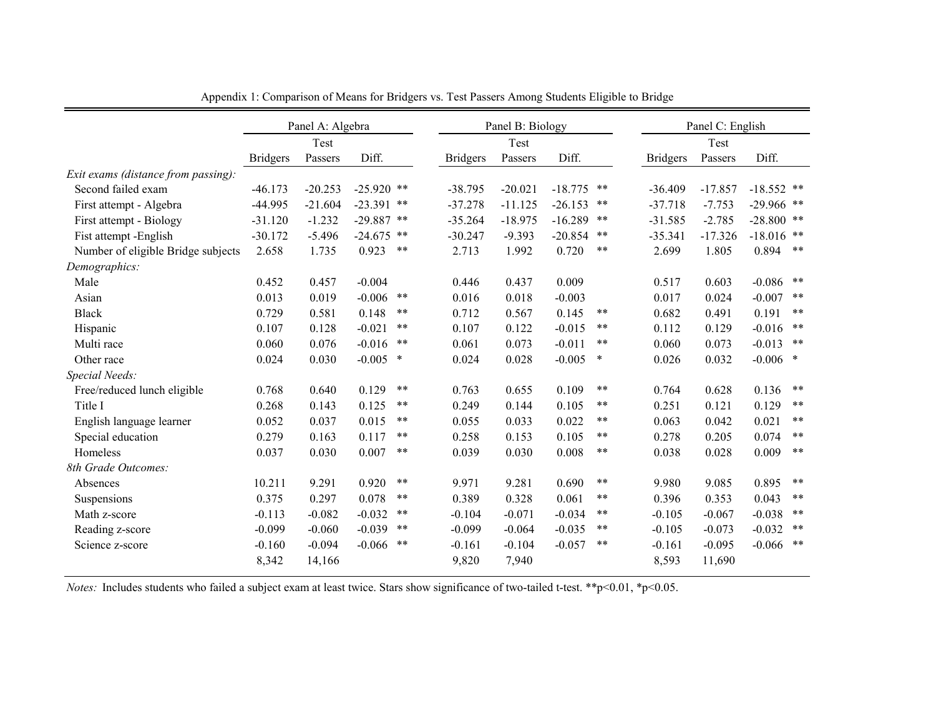|                                     |                 | Panel A: Algebra |              |        |                 | Panel B: Biology |           |        |                 | Panel C: English |              |       |
|-------------------------------------|-----------------|------------------|--------------|--------|-----------------|------------------|-----------|--------|-----------------|------------------|--------------|-------|
|                                     |                 | Test             |              |        |                 | Test             |           |        |                 | Test             |              |       |
|                                     | <b>Bridgers</b> | Passers          | Diff.        |        | <b>Bridgers</b> | Passers          | Diff.     |        | <b>Bridgers</b> | Passers          | Diff.        |       |
| Exit exams (distance from passing): |                 |                  |              |        |                 |                  |           |        |                 |                  |              |       |
| Second failed exam                  | $-46.173$       | $-20.253$        | $-25.920$ ** |        | $-38.795$       | $-20.021$        | $-18.775$ | **     | $-36.409$       | $-17.857$        | $-18.552$ ** |       |
| First attempt - Algebra             | -44.995         | $-21.604$        | $-23.391$ ** |        | $-37.278$       | $-11.125$        | $-26.153$ | **     | $-37.718$       | $-7.753$         | $-29.966$ ** |       |
| First attempt - Biology             | $-31.120$       | $-1.232$         | $-29.887$    | **     | $-35.264$       | $-18.975$        | $-16.289$ | **     | $-31.585$       | $-2.785$         | $-28.800$ ** |       |
| Fist attempt -English               | $-30.172$       | $-5.496$         | $-24.675$    | **     | $-30.247$       | $-9.393$         | $-20.854$ | $***$  | $-35.341$       | $-17.326$        | $-18.016$    | **    |
| Number of eligible Bridge subjects  | 2.658           | 1.735            | 0.923        | $***$  | 2.713           | 1.992            | 0.720     | $***$  | 2.699           | 1.805            | 0.894        | $***$ |
| Demographics:                       |                 |                  |              |        |                 |                  |           |        |                 |                  |              |       |
| Male                                | 0.452           | 0.457            | $-0.004$     |        | 0.446           | 0.437            | 0.009     |        | 0.517           | 0.603            | $-0.086$     | **    |
| Asian                               | 0.013           | 0.019            | $-0.006$     | **     | 0.016           | 0.018            | $-0.003$  |        | 0.017           | 0.024            | $-0.007$     | $***$ |
| <b>Black</b>                        | 0.729           | 0.581            | 0.148        | **     | 0.712           | 0.567            | 0.145     | **     | 0.682           | 0.491            | 0.191        | $***$ |
| Hispanic                            | 0.107           | 0.128            | $-0.021$     | $***$  | 0.107           | 0.122            | $-0.015$  | $***$  | 0.112           | 0.129            | $-0.016$     | $***$ |
| Multi race                          | 0.060           | 0.076            | $-0.016$     | **     | 0.061           | 0.073            | $-0.011$  | **     | 0.060           | 0.073            | $-0.013$     | $***$ |
| Other race                          | 0.024           | 0.030            | $-0.005$     | $\ast$ | 0.024           | 0.028            | $-0.005$  | $\ast$ | 0.026           | 0.032            | $-0.006$     | ∗     |
| Special Needs:                      |                 |                  |              |        |                 |                  |           |        |                 |                  |              |       |
| Free/reduced lunch eligible         | 0.768           | 0.640            | 0.129        | $***$  | 0.763           | 0.655            | 0.109     | **     | 0.764           | 0.628            | 0.136        | $***$ |
| Title I                             | 0.268           | 0.143            | 0.125        | $***$  | 0.249           | 0.144            | 0.105     | $***$  | 0.251           | 0.121            | 0.129        | $***$ |
| English language learner            | 0.052           | 0.037            | 0.015        | $***$  | 0.055           | 0.033            | 0.022     | **     | 0.063           | 0.042            | 0.021        | $***$ |
| Special education                   | 0.279           | 0.163            | 0.117        | $***$  | 0.258           | 0.153            | 0.105     | $***$  | 0.278           | 0.205            | 0.074        | $***$ |
| Homeless                            | 0.037           | 0.030            | 0.007        | $***$  | 0.039           | 0.030            | 0.008     | **     | 0.038           | 0.028            | 0.009        | $***$ |
| 8th Grade Outcomes:                 |                 |                  |              |        |                 |                  |           |        |                 |                  |              |       |
| Absences                            | 10.211          | 9.291            | 0.920        | $***$  | 9.971           | 9.281            | 0.690     | $***$  | 9.980           | 9.085            | 0.895        | $***$ |
| Suspensions                         | 0.375           | 0.297            | 0.078        | **     | 0.389           | 0.328            | 0.061     | $***$  | 0.396           | 0.353            | 0.043        | $***$ |
| Math z-score                        | $-0.113$        | $-0.082$         | $-0.032$     | **     | $-0.104$        | $-0.071$         | $-0.034$  | **     | $-0.105$        | $-0.067$         | $-0.038$     | $***$ |
| Reading z-score                     | $-0.099$        | $-0.060$         | $-0.039$     | $***$  | $-0.099$        | $-0.064$         | $-0.035$  | $***$  | $-0.105$        | $-0.073$         | $-0.032$     | $***$ |
| Science z-score                     | $-0.160$        | $-0.094$         | $-0.066$     | **     | $-0.161$        | $-0.104$         | $-0.057$  | **     | $-0.161$        | $-0.095$         | $-0.066$     | $***$ |
|                                     | 8,342           | 14,166           |              |        | 9,820           | 7,940            |           |        | 8,593           | 11,690           |              |       |

Appendix 1: Comparison of Means for Bridgers vs. Test Passers Among Students Eligible to Bridge

*Notes:* Includes students who failed a subject exam at least twice. Stars show significance of two-tailed t-test. \*\*p<0.01, \*p<0.05.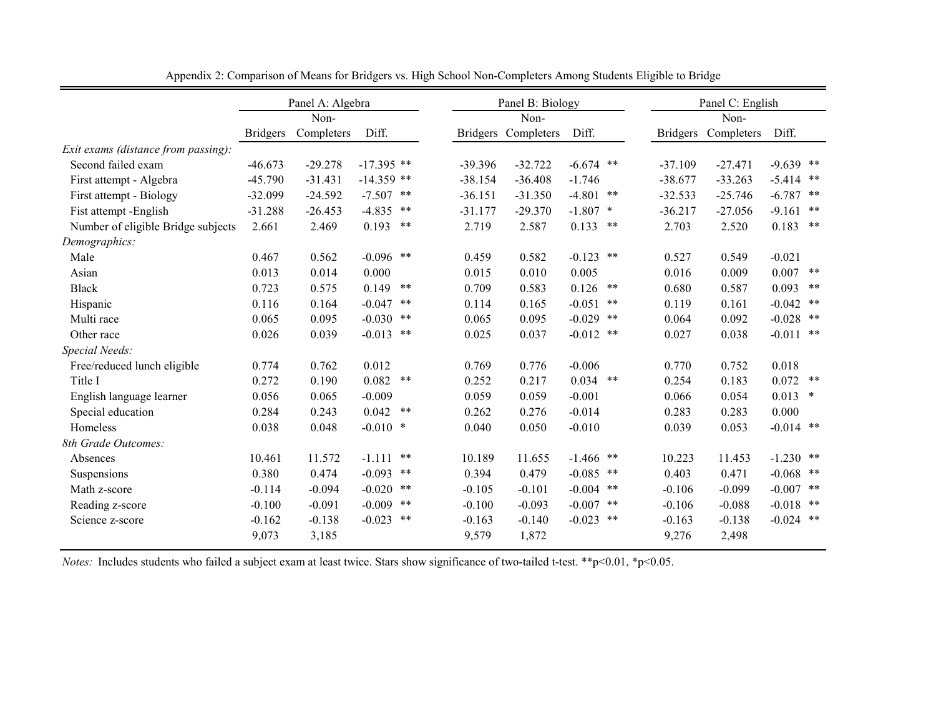|                                     |                 | Panel A: Algebra |              |       |           | Panel B: Biology    |             |    |           | Panel C: English    |             |        |
|-------------------------------------|-----------------|------------------|--------------|-------|-----------|---------------------|-------------|----|-----------|---------------------|-------------|--------|
|                                     |                 | Non-             |              |       |           | Non-                |             |    |           | Non-                |             |        |
|                                     | <b>Bridgers</b> | Completers       | Diff.        |       |           | Bridgers Completers | Diff.       |    |           | Bridgers Completers | Diff.       |        |
| Exit exams (distance from passing): |                 |                  |              |       |           |                     |             |    |           |                     |             |        |
| Second failed exam                  | $-46.673$       | $-29.278$        | $-17.395$ ** |       | $-39.396$ | $-32.722$           | $-6.674$ ** |    | $-37.109$ | $-27.471$           | $-9.639$ ** |        |
| First attempt - Algebra             | $-45.790$       | $-31.431$        | $-14.359$ ** |       | $-38.154$ | $-36.408$           | $-1.746$    |    | $-38.677$ | $-33.263$           | $-5.414$ ** |        |
| First attempt - Biology             | $-32.099$       | $-24.592$        | $-7.507$     | **    | $-36.151$ | $-31.350$           | $-4.801$ ** |    | $-32.533$ | $-25.746$           | $-6.787$    | **     |
| Fist attempt -English               | $-31.288$       | $-26.453$        | $-4.835$     | $***$ | $-31.177$ | $-29.370$           | $-1.807$ *  |    | $-36.217$ | $-27.056$           | $-9.161$ ** |        |
| Number of eligible Bridge subjects  | 2.661           | 2.469            | 0.193        | $***$ | 2.719     | 2.587               | 0.133       | ** | 2.703     | 2.520               | 0.183       | **     |
| Demographics:                       |                 |                  |              |       |           |                     |             |    |           |                     |             |        |
| Male                                | 0.467           | 0.562            | $-0.096$     | **    | 0.459     | 0.582               | $-0.123$ ** |    | 0.527     | 0.549               | $-0.021$    |        |
| Asian                               | 0.013           | 0.014            | 0.000        |       | 0.015     | 0.010               | 0.005       |    | 0.016     | 0.009               | 0.007       | **     |
| <b>Black</b>                        | 0.723           | 0.575            | 0.149        | $***$ | 0.709     | 0.583               | 0.126       | ** | 0.680     | 0.587               | 0.093       | $***$  |
| Hispanic                            | 0.116           | 0.164            | $-0.047$     | **    | 0.114     | 0.165               | $-0.051$    | ** | 0.119     | 0.161               | $-0.042$ ** |        |
| Multi race                          | 0.065           | 0.095            | $-0.030$     | **    | 0.065     | 0.095               | $-0.029$ ** |    | 0.064     | 0.092               | $-0.028$ ** |        |
| Other race                          | 0.026           | 0.039            | $-0.013$     | **    | 0.025     | 0.037               | $-0.012$ ** |    | 0.027     | 0.038               | $-0.011$ ** |        |
| Special Needs:                      |                 |                  |              |       |           |                     |             |    |           |                     |             |        |
| Free/reduced lunch eligible         | 0.774           | 0.762            | 0.012        |       | 0.769     | 0.776               | $-0.006$    |    | 0.770     | 0.752               | 0.018       |        |
| Title I                             | 0.272           | 0.190            | 0.082        | **    | 0.252     | 0.217               | $0.034$ **  |    | 0.254     | 0.183               | $0.072$ **  |        |
| English language learner            | 0.056           | 0.065            | $-0.009$     |       | 0.059     | 0.059               | $-0.001$    |    | 0.066     | 0.054               | 0.013       | $\ast$ |
| Special education                   | 0.284           | 0.243            | 0.042        | **    | 0.262     | 0.276               | $-0.014$    |    | 0.283     | 0.283               | 0.000       |        |
| Homeless                            | 0.038           | 0.048            | $-0.010$ *   |       | 0.040     | 0.050               | $-0.010$    |    | 0.039     | 0.053               | $-0.014$ ** |        |
| 8th Grade Outcomes:                 |                 |                  |              |       |           |                     |             |    |           |                     |             |        |
| Absences                            | 10.461          | 11.572           | $-1.111$     | **    | 10.189    | 11.655              | $-1.466$ ** |    | 10.223    | 11.453              | $-1.230$ ** |        |
| Suspensions                         | 0.380           | 0.474            | $-0.093$     | **    | 0.394     | 0.479               | $-0.085$ ** |    | 0.403     | 0.471               | $-0.068$ ** |        |
| Math z-score                        | $-0.114$        | $-0.094$         | $-0.020$     | **    | $-0.105$  | $-0.101$            | $-0.004$ ** |    | $-0.106$  | $-0.099$            | $-0.007$ ** |        |
| Reading z-score                     | $-0.100$        | $-0.091$         | $-0.009$     | **    | $-0.100$  | $-0.093$            | $-0.007$ ** |    | $-0.106$  | $-0.088$            | $-0.018$ ** |        |
| Science z-score                     | $-0.162$        | $-0.138$         | $-0.023$     | **    | $-0.163$  | $-0.140$            | $-0.023$ ** |    | $-0.163$  | $-0.138$            | $-0.024$ ** |        |
|                                     | 9,073           | 3,185            |              |       | 9,579     | 1,872               |             |    | 9,276     | 2,498               |             |        |

Appendix 2: Comparison of Means for Bridgers vs. High School Non-Completers Among Students Eligible to Bridge

*Notes:* Includes students who failed a subject exam at least twice. Stars show significance of two-tailed t-test. \*\*p<0.01, \*p<0.05.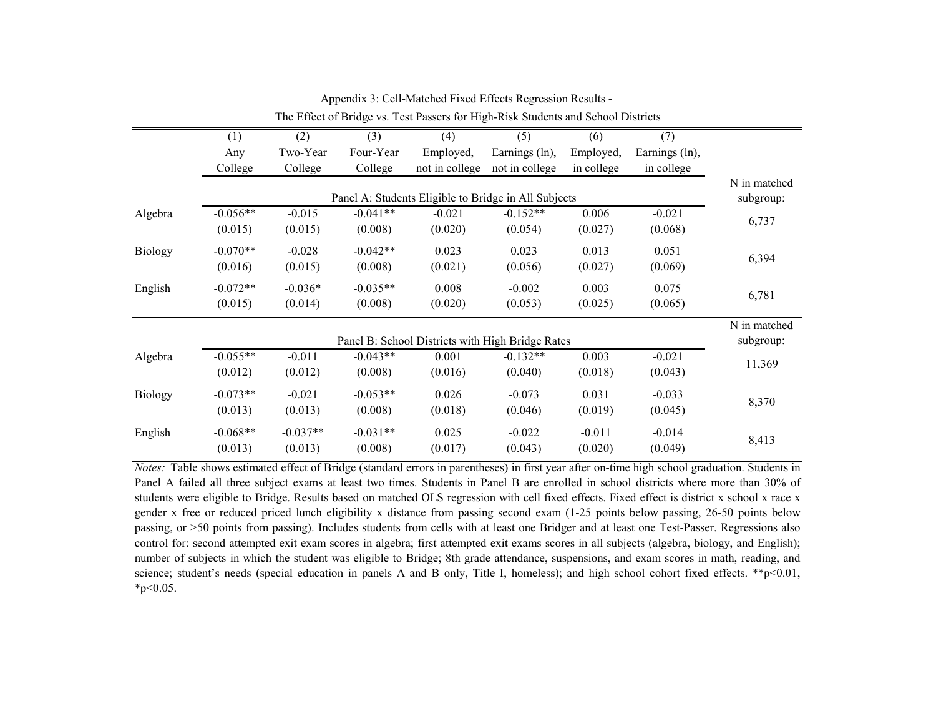|         | (1)        | (2)        | (3)        | (4)                                                  | (5)            | (6)        | (7)            |              |
|---------|------------|------------|------------|------------------------------------------------------|----------------|------------|----------------|--------------|
|         | Any        | Two-Year   | Four-Year  | Employed,                                            | Earnings (ln), | Employed,  | Earnings (ln), |              |
|         | College    | College    | College    | not in college                                       | not in college | in college | in college     |              |
|         |            |            |            |                                                      |                |            |                | N in matched |
|         |            |            |            | Panel A: Students Eligible to Bridge in All Subjects |                |            |                | subgroup:    |
| Algebra | $-0.056**$ | $-0.015$   | $-0.041**$ | $-0.021$                                             | $-0.152**$     | 0.006      | $-0.021$       | 6,737        |
|         | (0.015)    | (0.015)    | (0.008)    | (0.020)                                              | (0.054)        | (0.027)    | (0.068)        |              |
| Biology | $-0.070**$ | $-0.028$   | $-0.042**$ | 0.023                                                | 0.023          | 0.013      | 0.051          |              |
|         | (0.016)    | (0.015)    | (0.008)    | (0.021)                                              | (0.056)        | (0.027)    | (0.069)        | 6,394        |
| English | $-0.072**$ | $-0.036*$  | $-0.035**$ | 0.008                                                | $-0.002$       | 0.003      | 0.075          |              |
|         | (0.015)    | (0.014)    | (0.008)    | (0.020)                                              | (0.053)        | (0.025)    | (0.065)        | 6,781        |
|         |            |            |            |                                                      |                |            |                | N in matched |
|         |            |            |            | Panel B: School Districts with High Bridge Rates     |                |            |                | subgroup:    |
| Algebra | $-0.055**$ | $-0.011$   | $-0.043**$ | 0.001                                                | $-0.132**$     | 0.003      | $-0.021$       |              |
|         | (0.012)    | (0.012)    | (0.008)    | (0.016)                                              | (0.040)        | (0.018)    | (0.043)        | 11,369       |
| Biology | $-0.073**$ | $-0.021$   | $-0.053**$ | 0.026                                                | $-0.073$       | 0.031      | $-0.033$       |              |
|         | (0.013)    | (0.013)    | (0.008)    | (0.018)                                              | (0.046)        | (0.019)    | (0.045)        | 8,370        |
| English | $-0.068**$ | $-0.037**$ | $-0.031**$ | 0.025                                                | $-0.022$       | $-0.011$   | $-0.014$       |              |
|         | (0.013)    | (0.013)    | (0.008)    | (0.017)                                              | (0.043)        | (0.020)    | (0.049)        | 8,413        |

Appendix 3: Cell-Matched Fixed Effects Regression Results - The Effect of Bridge vs. Test Passers for High-Risk Students and School Districts

*Notes:* Table shows estimated effect of Bridge (standard errors in parentheses) in first year after on-time high school graduation. Students in Panel A failed all three subject exams at least two times. Students in Panel B are enrolled in school districts where more than 30% of students were eligible to Bridge. Results based on matched OLS regression with cell fixed effects. Fixed effect is district x school x race x gender x free or reduced priced lunch eligibility x distance from passing second exam (1-25 points below passing, 26-50 points below passing, or >50 points from passing). Includes students from cells with at least one Bridger and at least one Test-Passer. Regressions also control for: second attempted exit exam scores in algebra; first attempted exit exams scores in all subjects (algebra, biology, and English); number of subjects in which the student was eligible to Bridge; 8th grade attendance, suspensions, and exam scores in math, reading, and science; student's needs (special education in panels A and B only, Title I, homeless); and high school cohort fixed effects. \*\*p<0.01,  $*_{p<0.05}$ .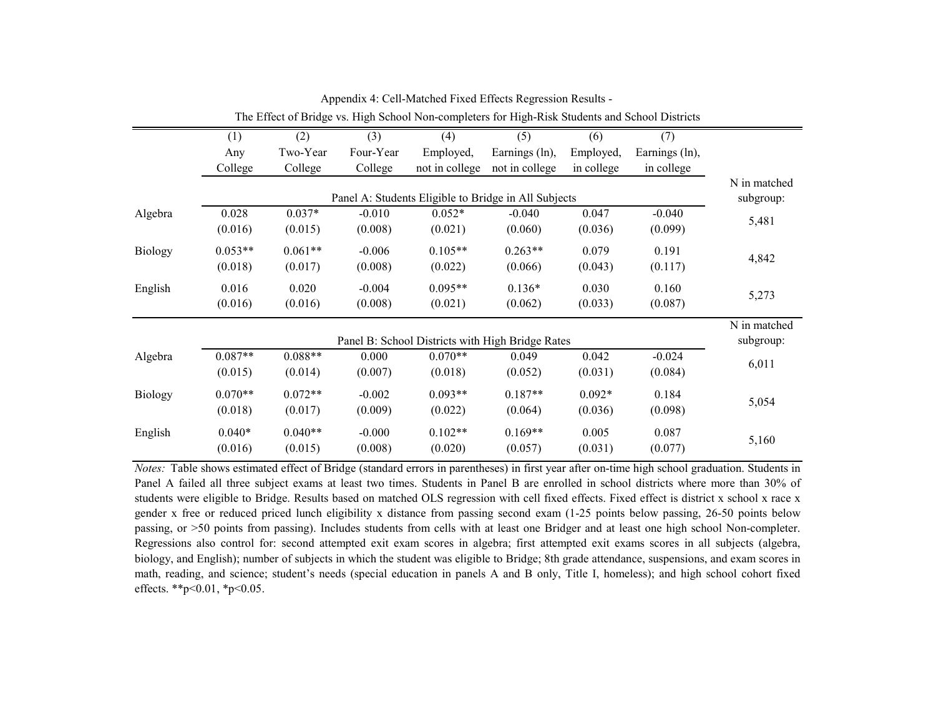|                | The Effect of Bridge vs. High School Non-completers for High-Risk Students and School Districts |           |           |                |                |            |                |           |  |  |  |  |  |
|----------------|-------------------------------------------------------------------------------------------------|-----------|-----------|----------------|----------------|------------|----------------|-----------|--|--|--|--|--|
|                | (1)                                                                                             | (2)       | (3)       | (4)            | (5)            | (6)        | (7)            |           |  |  |  |  |  |
|                | Any                                                                                             | Two-Year  | Four-Year | Employed,      | Earnings (ln), | Employed,  | Earnings (ln), |           |  |  |  |  |  |
|                | College                                                                                         | College   | College   | not in college | not in college | in college | in college     |           |  |  |  |  |  |
|                | Panel A: Students Eligible to Bridge in All Subjects                                            |           |           |                |                |            |                |           |  |  |  |  |  |
| Algebra        | 0.028                                                                                           | $0.037*$  | $-0.010$  | $0.052*$       | $-0.040$       | 0.047      | $-0.040$       | 5,481     |  |  |  |  |  |
|                | (0.016)                                                                                         | (0.015)   | (0.008)   | (0.021)        | (0.060)        | (0.036)    | (0.099)        |           |  |  |  |  |  |
| <b>Biology</b> | $0.053**$                                                                                       | $0.061**$ | $-0.006$  | $0.105**$      | $0.263**$      | 0.079      | 0.191          | 4,842     |  |  |  |  |  |
|                | (0.018)                                                                                         | (0.017)   | (0.008)   | (0.022)        | (0.066)        | (0.043)    | (0.117)        |           |  |  |  |  |  |
| English        | 0.016                                                                                           | 0.020     | $-0.004$  | $0.095**$      | $0.136*$       | 0.030      | 0.160          | 5,273     |  |  |  |  |  |
|                | (0.016)                                                                                         | (0.016)   | (0.008)   | (0.021)        | (0.062)        | (0.033)    | (0.087)        |           |  |  |  |  |  |
|                | N in matched<br>Panel B: School Districts with High Bridge Rates                                |           |           |                |                |            |                |           |  |  |  |  |  |
|                |                                                                                                 |           |           |                |                |            |                | subgroup: |  |  |  |  |  |
| Algebra        | $0.087**$                                                                                       | $0.088**$ | 0.000     | $0.070**$      | 0.049          | 0.042      | $-0.024$       | 6,011     |  |  |  |  |  |
|                | (0.015)                                                                                         | (0.014)   | (0.007)   | (0.018)        | (0.052)        | (0.031)    | (0.084)        |           |  |  |  |  |  |
| <b>Biology</b> | $0.070**$                                                                                       | $0.072**$ | $-0.002$  | $0.093**$      | $0.187**$      | $0.092*$   | 0.184          |           |  |  |  |  |  |
|                | (0.018)                                                                                         | (0.017)   | (0.009)   | (0.022)        | (0.064)        | (0.036)    | (0.098)        | 5,054     |  |  |  |  |  |
| English        | $0.040*$                                                                                        | $0.040**$ | $-0.000$  | $0.102**$      | $0.169**$      | 0.005      | 0.087          |           |  |  |  |  |  |
|                | (0.016)                                                                                         | (0.015)   | (0.008)   | (0.020)        | (0.057)        | (0.031)    | (0.077)        | 5,160     |  |  |  |  |  |

Appendix 4: Cell-Matched Fixed Effects Regression Results -

*Notes:* Table shows estimated effect of Bridge (standard errors in parentheses) in first year after on-time high school graduation. Students in Panel A failed all three subject exams at least two times. Students in Panel B are enrolled in school districts where more than 30% of students were eligible to Bridge. Results based on matched OLS regression with cell fixed effects. Fixed effect is district x school x race x gender x free or reduced priced lunch eligibility x distance from passing second exam (1-25 points below passing, 26-50 points below passing, or >50 points from passing). Includes students from cells with at least one Bridger and at least one high school Non-completer. Regressions also control for: second attempted exit exam scores in algebra; first attempted exit exams scores in all subjects (algebra, biology, and English); number of subjects in which the student was eligible to Bridge; 8th grade attendance, suspensions, and exam scores in math, reading, and science; student's needs (special education in panels A and B only, Title I, homeless); and high school cohort fixed effects. \*\*p<0.01, \*p<0.05.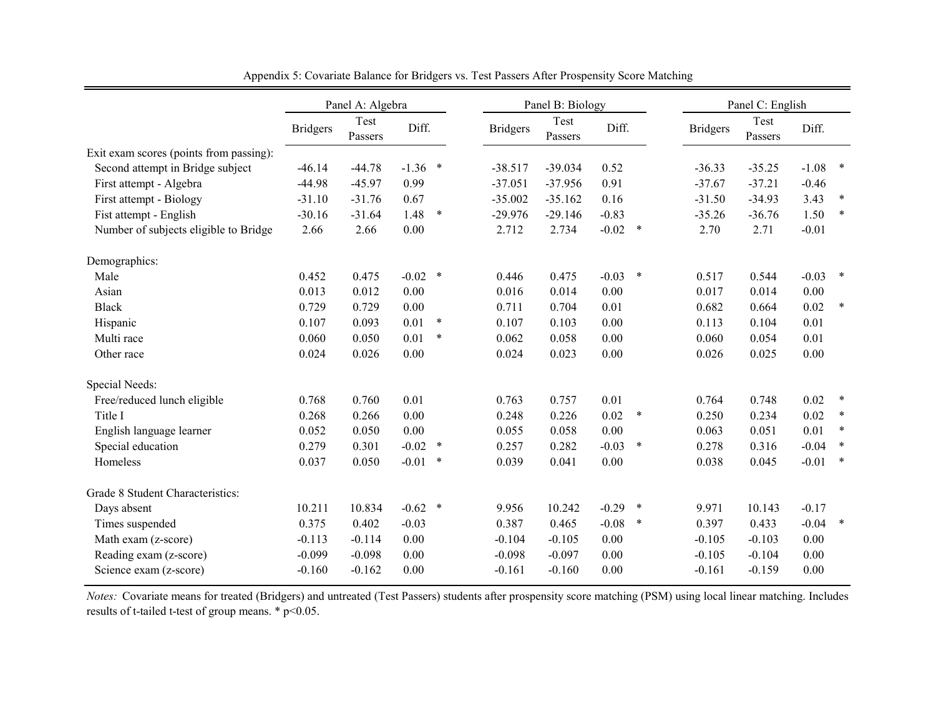|                                         | Panel A: Algebra |                 |           |        |                 | Panel B: Biology |           |        |                 | Panel C: English |          |        |  |
|-----------------------------------------|------------------|-----------------|-----------|--------|-----------------|------------------|-----------|--------|-----------------|------------------|----------|--------|--|
|                                         | <b>Bridgers</b>  | Test<br>Passers | Diff.     |        | <b>Bridgers</b> | Test<br>Passers  | Diff.     |        | <b>Bridgers</b> | Test<br>Passers  | Diff.    |        |  |
| Exit exam scores (points from passing): |                  |                 |           |        |                 |                  |           |        |                 |                  |          |        |  |
| Second attempt in Bridge subject        | $-46.14$         | $-44.78$        | $-1.36$ * |        | $-38.517$       | $-39.034$        | 0.52      |        | $-36.33$        | $-35.25$         | $-1.08$  | $\ast$ |  |
| First attempt - Algebra                 | $-44.98$         | $-45.97$        | 0.99      |        | $-37.051$       | $-37.956$        | 0.91      |        | $-37.67$        | $-37.21$         | $-0.46$  |        |  |
| First attempt - Biology                 | $-31.10$         | $-31.76$        | 0.67      |        | $-35.002$       | $-35.162$        | 0.16      |        | $-31.50$        | $-34.93$         | 3.43     | $\ast$ |  |
| Fist attempt - English                  | $-30.16$         | $-31.64$        | 1.48      | $\ast$ | $-29.976$       | $-29.146$        | $-0.83$   |        | $-35.26$        | $-36.76$         | 1.50     | $\ast$ |  |
| Number of subjects eligible to Bridge   | 2.66             | 2.66            | 0.00      |        | 2.712           | 2.734            | $-0.02$ * |        | 2.70            | 2.71             | $-0.01$  |        |  |
| Demographics:                           |                  |                 |           |        |                 |                  |           |        |                 |                  |          |        |  |
| Male                                    | 0.452            | 0.475           | $-0.02$ * |        | 0.446           | 0.475            | $-0.03$   | $\ast$ | 0.517           | 0.544            | $-0.03$  | $\ast$ |  |
| Asian                                   | 0.013            | 0.012           | 0.00      |        | 0.016           | 0.014            | 0.00      |        | 0.017           | 0.014            | 0.00     |        |  |
| <b>Black</b>                            | 0.729            | 0.729           | 0.00      |        | 0.711           | 0.704            | 0.01      |        | 0.682           | 0.664            | 0.02     | $\ast$ |  |
| Hispanic                                | 0.107            | 0.093           | 0.01      | $\ast$ | 0.107           | 0.103            | 0.00      |        | 0.113           | 0.104            | 0.01     |        |  |
| Multi race                              | 0.060            | 0.050           | 0.01      | $\ast$ | 0.062           | 0.058            | 0.00      |        | 0.060           | 0.054            | 0.01     |        |  |
| Other race                              | 0.024            | 0.026           | 0.00      |        | 0.024           | 0.023            | 0.00      |        | 0.026           | 0.025            | 0.00     |        |  |
| Special Needs:                          |                  |                 |           |        |                 |                  |           |        |                 |                  |          |        |  |
| Free/reduced lunch eligible             | 0.768            | 0.760           | 0.01      |        | 0.763           | 0.757            | 0.01      |        | 0.764           | 0.748            | 0.02     | $\ast$ |  |
| Title I                                 | 0.268            | 0.266           | 0.00      |        | 0.248           | 0.226            | 0.02      | ∗      | 0.250           | 0.234            | 0.02     | $\ast$ |  |
| English language learner                | 0.052            | 0.050           | 0.00      |        | 0.055           | 0.058            | 0.00      |        | 0.063           | 0.051            | 0.01     | $\ast$ |  |
| Special education                       | 0.279            | 0.301           | $-0.02$   | $\ast$ | 0.257           | 0.282            | $-0.03$   | $\ast$ | 0.278           | 0.316            | $-0.04$  | $\ast$ |  |
| Homeless                                | 0.037            | 0.050           | $-0.01$   | $\ast$ | 0.039           | 0.041            | 0.00      |        | 0.038           | 0.045            | $-0.01$  | $\ast$ |  |
| Grade 8 Student Characteristics:        |                  |                 |           |        |                 |                  |           |        |                 |                  |          |        |  |
| Days absent                             | 10.211           | 10.834          | $-0.62$ * |        | 9.956           | 10.242           | $-0.29$   | $\ast$ | 9.971           | 10.143           | $-0.17$  |        |  |
| Times suspended                         | 0.375            | 0.402           | $-0.03$   |        | 0.387           | 0.465            | $-0.08$   | $\ast$ | 0.397           | 0.433            | $-0.04$  | $\ast$ |  |
| Math exam (z-score)                     | $-0.113$         | $-0.114$        | 0.00      |        | $-0.104$        | $-0.105$         | 0.00      |        | $-0.105$        | $-0.103$         | $0.00\,$ |        |  |
| Reading exam (z-score)                  | $-0.099$         | $-0.098$        | 0.00      |        | $-0.098$        | $-0.097$         | 0.00      |        | $-0.105$        | $-0.104$         | 0.00     |        |  |
| Science exam (z-score)                  | $-0.160$         | $-0.162$        | 0.00      |        | $-0.161$        | $-0.160$         | 0.00      |        | $-0.161$        | $-0.159$         | 0.00     |        |  |

Appendix 5: Covariate Balance for Bridgers vs. Test Passers After Prospensity Score Matching

*Notes:* Covariate means for treated (Bridgers) and untreated (Test Passers) students after prospensity score matching (PSM) using local linear matching. Includes results of t-tailed t-test of group means. \* p<0.05.